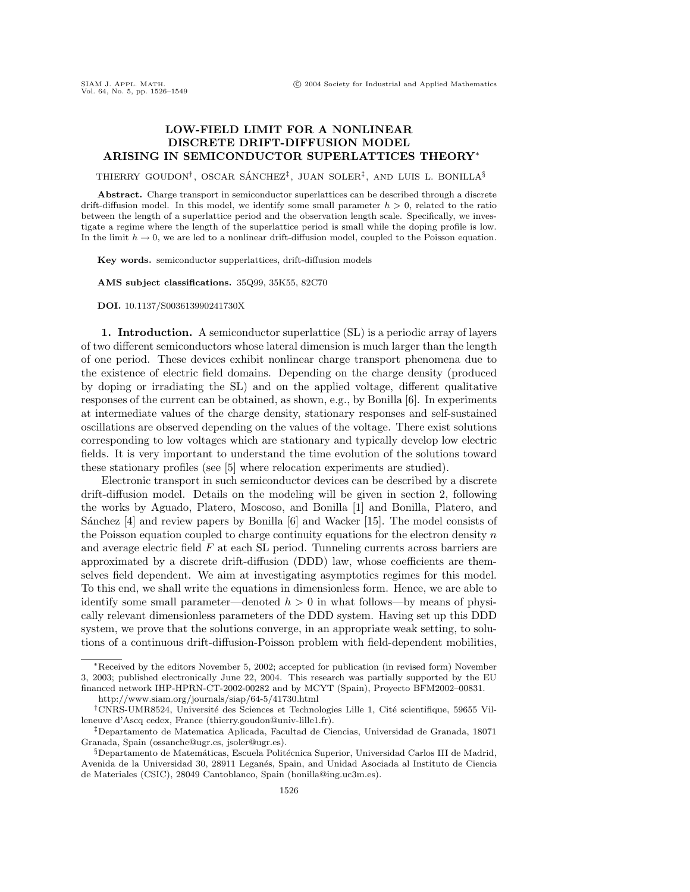## **LOW-FIELD LIMIT FOR A NONLINEAR DISCRETE DRIFT-DIFFUSION MODEL ARISING IN SEMICONDUCTOR SUPERLATTICES THEORY**<sup>∗</sup>

THIERRY GOUDON<sup>†</sup>, OSCAR SÁNCHEZ<sup>‡</sup>, JUAN SOLER<sup>‡</sup>, AND LUIS L. BONILLA<sup>§</sup>

Abstract. Charge transport in semiconductor superlattices can be described through a discrete drift-diffusion model. In this model, we identify some small parameter  $h > 0$ , related to the ratio between the length of a superlattice period and the observation length scale. Specifically, we investigate a regime where the length of the superlattice period is small while the doping profile is low. In the limit  $h \to 0$ , we are led to a nonlinear drift-diffusion model, coupled to the Poisson equation.

**Key words.** semiconductor supperlattices, drift-diffusion models

**AMS subject classifications.** 35Q99, 35K55, 82C70

**DOI.** 10.1137/S003613990241730X

**1. Introduction.** A semiconductor superlattice (SL) is a periodic array of layers of two different semiconductors whose lateral dimension is much larger than the length of one period. These devices exhibit nonlinear charge transport phenomena due to the existence of electric field domains. Depending on the charge density (produced by doping or irradiating the SL) and on the applied voltage, different qualitative responses of the current can be obtained, as shown, e.g., by Bonilla [6]. In experiments at intermediate values of the charge density, stationary responses and self-sustained oscillations are observed depending on the values of the voltage. There exist solutions corresponding to low voltages which are stationary and typically develop low electric fields. It is very important to understand the time evolution of the solutions toward these stationary profiles (see [5] where relocation experiments are studied).

Electronic transport in such semiconductor devices can be described by a discrete drift-diffusion model. Details on the modeling will be given in section 2, following the works by Aguado, Platero, Moscoso, and Bonilla [1] and Bonilla, Platero, and Sánchez  $[4]$  and review papers by Bonilla  $[6]$  and Wacker  $[15]$ . The model consists of the Poisson equation coupled to charge continuity equations for the electron density  $n$ and average electric field F at each SL period. Tunneling currents across barriers are approximated by a discrete drift-diffusion (DDD) law, whose coefficients are themselves field dependent. We aim at investigating asymptotics regimes for this model. To this end, we shall write the equations in dimensionless form. Hence, we are able to identify some small parameter—denoted  $h > 0$  in what follows—by means of physically relevant dimensionless parameters of the DDD system. Having set up this DDD system, we prove that the solutions converge, in an appropriate weak setting, to solutions of a continuous drift-diffusion-Poisson problem with field-dependent mobilities,

<sup>∗</sup>Received by the editors November 5, 2002; accepted for publication (in revised form) November 3, 2003; published electronically June 22, 2004. This research was partially supported by the EU financed network IHP-HPRN-CT-2002-00282 and by MCYT (Spain), Proyecto BFM2002–00831.

http://www.siam.org/journals/siap/64-5/41730.html

<sup>&</sup>lt;sup>†</sup>CNRS-UMR8524, Université des Sciences et Technologies Lille 1, Cité scientifique, 59655 Villeneuve d'Ascq cedex, France (thierry.goudon@univ-lille1.fr).

<sup>‡</sup>Departamento de Matematica Aplicada, Facultad de Ciencias, Universidad de Granada, 18071 Granada, Spain (ossanche@ugr.es, jsoler@ugr.es).

<sup>§</sup>Departamento de Matemáticas, Escuela Politécnica Superior, Universidad Carlos III de Madrid, Avenida de la Universidad 30, 28911 Leganés, Spain, and Unidad Asociada al Instituto de Ciencia de Materiales (CSIC), 28049 Cantoblanco, Spain (bonilla@ing.uc3m.es).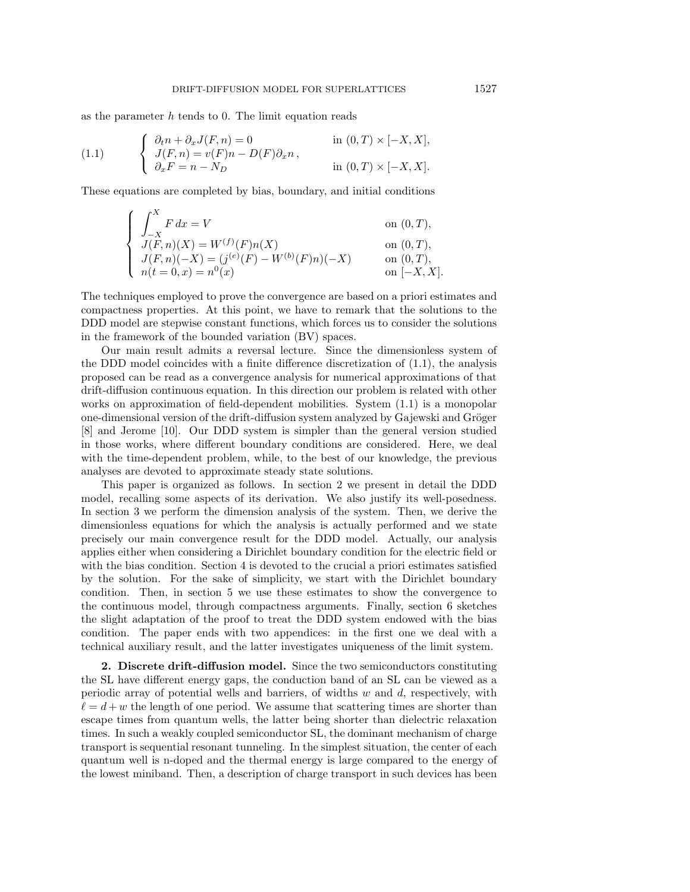as the parameter  $h$  tends to 0. The limit equation reads

(1.1) 
$$
\begin{cases} \partial_t n + \partial_x J(F, n) = 0 & \text{in } (0, T) \times [-X, X], \\ J(F, n) = v(F)n - D(F)\partial_x n, \\ \partial_x F = n - N_D & \text{in } (0, T) \times [-X, X]. \end{cases}
$$

These equations are completed by bias, boundary, and initial conditions

$$
\begin{cases}\n\int_{-X}^{X} F dx = V & \text{on } (0, T), \\
J(F, n)(X) = W^{(f)}(F)n(X) & \text{on } (0, T), \\
J(F, n)(-X) = (j^{(e)}(F) - W^{(b)}(F)n)(-X) & \text{on } (0, T), \\
n(t = 0, x) = n^{0}(x) & \text{on } [-X, X].\n\end{cases}
$$

The techniques employed to prove the convergence are based on a priori estimates and compactness properties. At this point, we have to remark that the solutions to the DDD model are stepwise constant functions, which forces us to consider the solutions in the framework of the bounded variation (BV) spaces.

Our main result admits a reversal lecture. Since the dimensionless system of the DDD model coincides with a finite difference discretization of (1.1), the analysis proposed can be read as a convergence analysis for numerical approximations of that drift-diffusion continuous equation. In this direction our problem is related with other works on approximation of field-dependent mobilities. System (1.1) is a monopolar one-dimensional version of the drift-diffusion system analyzed by Gajewski and Gröger [8] and Jerome [10]. Our DDD system is simpler than the general version studied in those works, where different boundary conditions are considered. Here, we deal with the time-dependent problem, while, to the best of our knowledge, the previous analyses are devoted to approximate steady state solutions.

This paper is organized as follows. In section 2 we present in detail the DDD model, recalling some aspects of its derivation. We also justify its well-posedness. In section 3 we perform the dimension analysis of the system. Then, we derive the dimensionless equations for which the analysis is actually performed and we state precisely our main convergence result for the DDD model. Actually, our analysis applies either when considering a Dirichlet boundary condition for the electric field or with the bias condition. Section 4 is devoted to the crucial a priori estimates satisfied by the solution. For the sake of simplicity, we start with the Dirichlet boundary condition. Then, in section 5 we use these estimates to show the convergence to the continuous model, through compactness arguments. Finally, section 6 sketches the slight adaptation of the proof to treat the DDD system endowed with the bias condition. The paper ends with two appendices: in the first one we deal with a technical auxiliary result, and the latter investigates uniqueness of the limit system.

**2. Discrete drift-diffusion model.** Since the two semiconductors constituting the SL have different energy gaps, the conduction band of an SL can be viewed as a periodic array of potential wells and barriers, of widths  $w$  and  $d$ , respectively, with  $\ell = d + w$  the length of one period. We assume that scattering times are shorter than escape times from quantum wells, the latter being shorter than dielectric relaxation times. In such a weakly coupled semiconductor SL, the dominant mechanism of charge transport is sequential resonant tunneling. In the simplest situation, the center of each quantum well is n-doped and the thermal energy is large compared to the energy of the lowest miniband. Then, a description of charge transport in such devices has been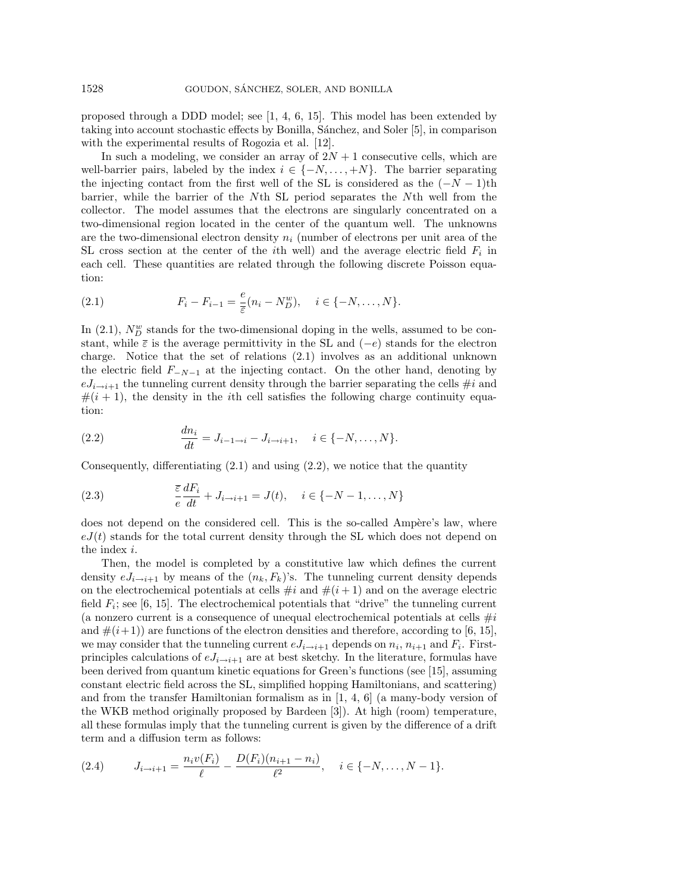proposed through a DDD model; see [1, 4, 6, 15]. This model has been extended by taking into account stochastic effects by Bonilla, Sánchez, and Soler [5], in comparison with the experimental results of Rogozia et al. [12].

In such a modeling, we consider an array of  $2N+1$  consecutive cells, which are well-barrier pairs, labeled by the index  $i \in \{-N, \ldots, +N\}$ . The barrier separating the injecting contact from the first well of the SL is considered as the  $(-N-1)$ th barrier, while the barrier of the Nth SL period separates the Nth well from the collector. The model assumes that the electrons are singularly concentrated on a two-dimensional region located in the center of the quantum well. The unknowns are the two-dimensional electron density  $n_i$  (number of electrons per unit area of the SL cross section at the center of the *i*th well) and the average electric field  $F_i$  in each cell. These quantities are related through the following discrete Poisson equation:

(2.1) 
$$
F_i - F_{i-1} = \frac{e}{\bar{\varepsilon}} (n_i - N_D^w), \quad i \in \{-N, \dots, N\}.
$$

In (2.1),  $N_D^w$  stands for the two-dimensional doping in the wells, assumed to be constant, while  $\bar{\varepsilon}$  is the average permittivity in the SL and ( $-e$ ) stands for the electron charge. Notice that the set of relations (2.1) involves as an additional unknown the electric field  $F_{-N-1}$  at the injecting contact. On the other hand, denoting by  $eJ_{i\rightarrow i+1}$  the tunneling current density through the barrier separating the cells  $\#i$  and  $\#(i+1)$ , the density in the *i*th cell satisfies the following charge continuity equation:

(2.2) 
$$
\frac{dn_i}{dt} = J_{i-1 \to i} - J_{i \to i+1}, \quad i \in \{-N, \dots, N\}.
$$

Consequently, differentiating  $(2.1)$  and using  $(2.2)$ , we notice that the quantity

(2.3) 
$$
\frac{\overline{\varepsilon}}{e} \frac{dF_i}{dt} + J_{i \to i+1} = J(t), \quad i \in \{-N-1, \dots, N\}
$$

does not depend on the considered cell. This is the so-called Ampère's law, where  $eJ(t)$  stands for the total current density through the SL which does not depend on the index i.

Then, the model is completed by a constitutive law which defines the current density  $eJ_{i\to i+1}$  by means of the  $(n_k, F_k)$ 's. The tunneling current density depends on the electrochemical potentials at cells  $\#i$  and  $\#(i+1)$  and on the average electric field  $F_i$ ; see [6, 15]. The electrochemical potentials that "drive" the tunneling current (a nonzero current is a consequence of unequal electrochemical potentials at cells  $\#i$ and  $\#(i+1)$  are functions of the electron densities and therefore, according to [6, 15], we may consider that the tunneling current  $eJ_{i\rightarrow i+1}$  depends on  $n_i$ ,  $n_{i+1}$  and  $F_i$ . Firstprinciples calculations of  $eJ_{i\rightarrow i+1}$  are at best sketchy. In the literature, formulas have been derived from quantum kinetic equations for Green's functions (see [15], assuming constant electric field across the SL, simplified hopping Hamiltonians, and scattering) and from the transfer Hamiltonian formalism as in [1, 4, 6] (a many-body version of the WKB method originally proposed by Bardeen [3]). At high (room) temperature, all these formulas imply that the tunneling current is given by the difference of a drift term and a diffusion term as follows:

$$
(2.4) \tJ_{i\to i+1} = \frac{n_i v(F_i)}{\ell} - \frac{D(F_i)(n_{i+1} - n_i)}{\ell^2}, \quad i \in \{-N, \dots, N-1\}.
$$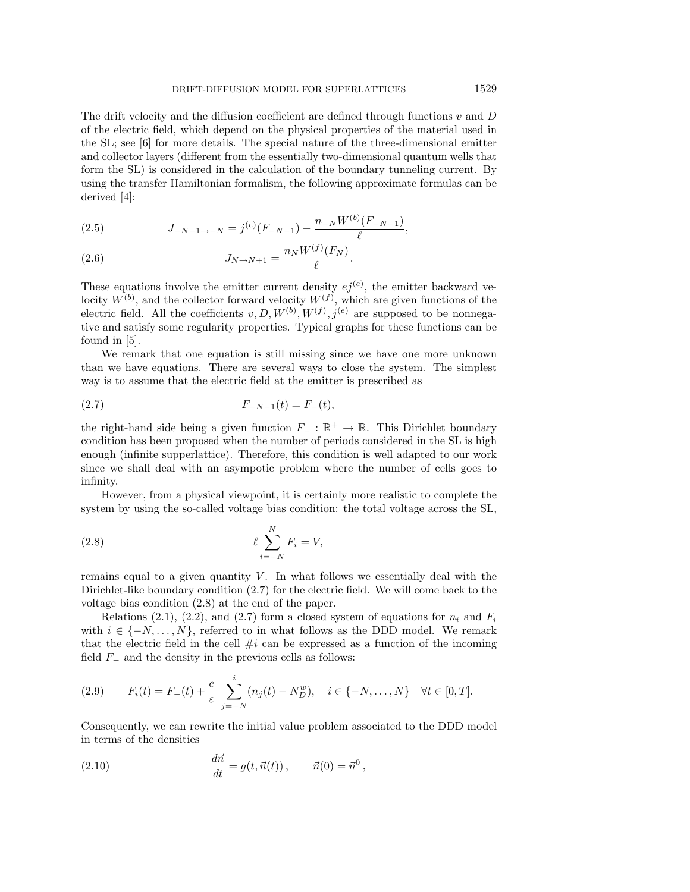The drift velocity and the diffusion coefficient are defined through functions  $v$  and  $D$ of the electric field, which depend on the physical properties of the material used in the SL; see [6] for more details. The special nature of the three-dimensional emitter and collector layers (different from the essentially two-dimensional quantum wells that form the SL) is considered in the calculation of the boundary tunneling current. By using the transfer Hamiltonian formalism, the following approximate formulas can be derived [4]:

(2.5) 
$$
J_{-N-1 \to -N} = j^{(e)}(F_{-N-1}) - \frac{n_{-N}W^{(b)}(F_{-N-1})}{\ell},
$$

(2.6) 
$$
J_{N \to N+1} = \frac{n_N W^{(f)}(F_N)}{\ell}.
$$

These equations involve the emitter current density  $ej^{(e)}$ , the emitter backward velocity  $W^{(b)}$ , and the collector forward velocity  $W^{(f)}$ , which are given functions of the electric field. All the coefficients  $v, D, W^{(b)}, W^{(f)}, j^{(e)}$  are supposed to be nonnegative and satisfy some regularity properties. Typical graphs for these functions can be found in [5].

We remark that one equation is still missing since we have one more unknown than we have equations. There are several ways to close the system. The simplest way is to assume that the electric field at the emitter is prescribed as

$$
(2.7) \t\t F_{-N-1}(t) = F_{-}(t),
$$

the right-hand side being a given function  $F_-\,:\,\mathbb{R}^+\to\mathbb{R}$ . This Dirichlet boundary condition has been proposed when the number of periods considered in the SL is high enough (infinite supperlattice). Therefore, this condition is well adapted to our work since we shall deal with an asympotic problem where the number of cells goes to infinity.

However, from a physical viewpoint, it is certainly more realistic to complete the system by using the so-called voltage bias condition: the total voltage across the SL,

$$
\ell \sum_{i=-N}^{N} F_i = V,
$$

remains equal to a given quantity  $V$ . In what follows we essentially deal with the Dirichlet-like boundary condition (2.7) for the electric field. We will come back to the voltage bias condition (2.8) at the end of the paper.

Relations (2.1), (2.2), and (2.7) form a closed system of equations for  $n_i$  and  $F_i$ with  $i \in \{-N, \ldots, N\}$ , referred to in what follows as the DDD model. We remark that the electric field in the cell  $\#i$  can be expressed as a function of the incoming field  $F_-\,$  and the density in the previous cells as follows:

(2.9) 
$$
F_i(t) = F_-(t) + \frac{e}{\overline{\varepsilon}} \sum_{j=-N}^i (n_j(t) - N_D^w), \quad i \in \{-N, ..., N\} \quad \forall t \in [0, T].
$$

Consequently, we can rewrite the initial value problem associated to the DDD model in terms of the densities

(2.10) 
$$
\frac{d\vec{n}}{dt} = g(t, \vec{n}(t)), \qquad \vec{n}(0) = \vec{n}^0,
$$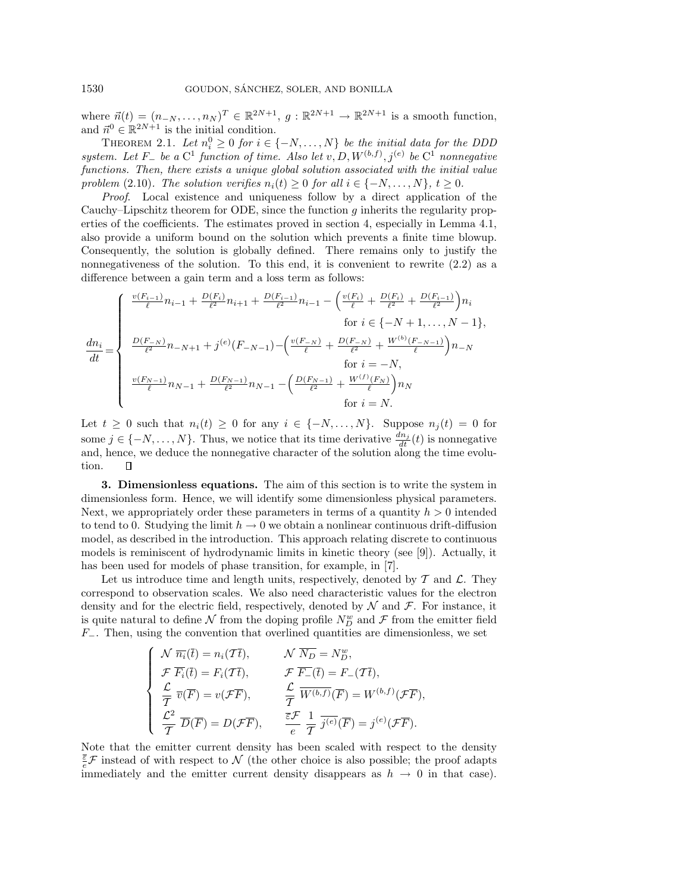where  $\vec{n}(t)=(n_{-N},\ldots,n_N )^T \in \mathbb{R}^{2N+1}, g : \mathbb{R}^{2N+1} \to \mathbb{R}^{2N+1}$  is a smooth function, and  $\vec{n}^0 \in \mathbb{R}^{2N+1}$  is the initial condition.

THEOREM 2.1. Let  $n_i^0 \geq 0$  for  $i \in \{-N, \ldots, N\}$  be the initial data for the DDD system. Let  $F_-\,$  be a  $C^1$  function of time. Also let  $v, D, W^{(b,f)}, j^{(e)}$  be  $C^1$  nonnegative functions. Then, there exists a unique global solution associated with the initial value problem (2.10). The solution verifies  $n_i(t) \geq 0$  for all  $i \in \{-N, \ldots, N\}, t \geq 0$ .

Proof. Local existence and uniqueness follow by a direct application of the Cauchy–Lipschitz theorem for ODE, since the function  $g$  inherits the regularity properties of the coefficients. The estimates proved in section 4, especially in Lemma 4.1, also provide a uniform bound on the solution which prevents a finite time blowup. Consequently, the solution is globally defined. There remains only to justify the nonnegativeness of the solution. To this end, it is convenient to rewrite (2.2) as a difference between a gain term and a loss term as follows:

$$
\frac{dn_i}{dt} = \begin{cases} \frac{v(F_{i-1})}{\ell}n_{i-1} + \frac{D(F_i)}{\ell^2}n_{i+1} + \frac{D(F_{i-1})}{\ell^2}n_{i-1} - \left(\frac{v(F_i)}{\ell} + \frac{D(F_i)}{\ell^2} + \frac{D(F_{i-1})}{\ell^2}\right)n_i\\ &\text{for } i \in \{-N+1,\ldots,N-1\},\\ \frac{D(F_{-N})}{\ell^2}n_{-N+1} + j^{(e)}(F_{-N-1}) - \left(\frac{v(F_{-N})}{\ell} + \frac{D(F_{-N})}{\ell^2} + \frac{W^{(b)}(F_{-N-1})}{\ell}\right)n_{-N}\\ &\text{for } i = -N,\\ \frac{v(F_{N-1})}{\ell}n_{N-1} + \frac{D(F_{N-1})}{\ell^2}n_{N-1} - \left(\frac{D(F_{N-1})}{\ell^2} + \frac{W^{(f)}(F_N)}{\ell}\right)n_N\\ &\text{for } i = N. \end{cases}
$$

Let  $t \geq 0$  such that  $n_i(t) \geq 0$  for any  $i \in \{-N, \ldots, N\}$ . Suppose  $n_j(t) = 0$  for some  $j \in \{-N, \ldots, N\}$ . Thus, we notice that its time derivative  $\frac{dn_j}{dt}(t)$  is nonnegative and, hence, we deduce the nonnegative character of the solution along the time evolution.  $\Box$ 

**3. Dimensionless equations.** The aim of this section is to write the system in dimensionless form. Hence, we will identify some dimensionless physical parameters. Next, we appropriately order these parameters in terms of a quantity  $h > 0$  intended to tend to 0. Studying the limit  $h \to 0$  we obtain a nonlinear continuous drift-diffusion model, as described in the introduction. This approach relating discrete to continuous models is reminiscent of hydrodynamic limits in kinetic theory (see [9]). Actually, it has been used for models of phase transition, for example, in [7].

Let us introduce time and length units, respectively, denoted by  $\mathcal T$  and  $\mathcal L$ . They correspond to observation scales. We also need characteristic values for the electron density and for the electric field, respectively, denoted by  $N$  and  $\mathcal{F}$ . For instance, it is quite natural to define  $N$  from the doping profile  $N_D^w$  and  $\mathcal F$  from the emitter field  $F_-.$  Then, using the convention that overlined quantities are dimensionless, we set

$$
\begin{cases}\n\mathcal{N} \ \overline{n_i}(\overline{t}) = n_i(\mathcal{T}\overline{t}), & \mathcal{N} \ \overline{N_D} = N_D^w, \\
\mathcal{F} \ \overline{F_i}(\overline{t}) = F_i(\mathcal{T}\overline{t}), & \mathcal{F} \ \overline{F_{-}}(\overline{t}) = F_{-}(\mathcal{T}\overline{t}), \\
\frac{\mathcal{L}}{\overline{T}} \ \overline{v}(\overline{F}) = v(\mathcal{F}\overline{F}), & \frac{\mathcal{L}}{\overline{T}} \ \overline{W^{(b,f)}}(\overline{F}) = W^{(b,f)}(\mathcal{F}\overline{F}), \\
\frac{\mathcal{L}^2}{\overline{T}} \ \overline{D}(\overline{F}) = D(\mathcal{F}\overline{F}), & \frac{\overline{\varepsilon}\mathcal{F}}{e} \ \frac{1}{\overline{T}} \ \overline{j^{(e)}}(\overline{F}) = j^{(e)}(\mathcal{F}\overline{F}).\n\end{cases}
$$

Note that the emitter current density has been scaled with respect to the density  $\bar{\epsilon}$   $\mathcal{F}$  instead of with respect to  $\mathcal{N}$  (the other choice is also possible; the proof adapts immediately and the emitter current density disappears as  $h \to 0$  in that case).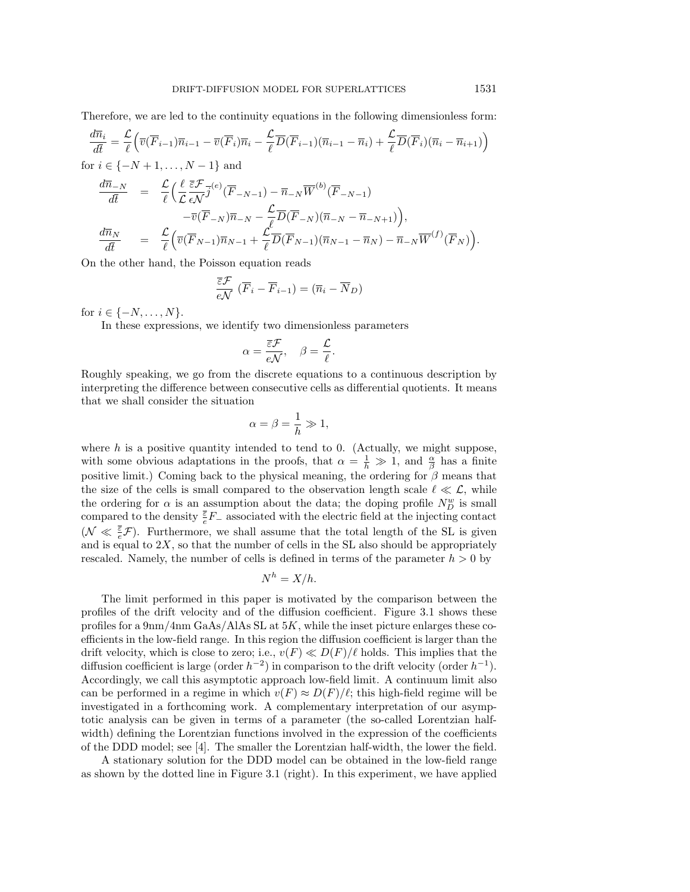Therefore, we are led to the continuity equations in the following dimensionless form:

$$
\frac{d\overline{n}_i}{d\overline{t}} = \frac{\mathcal{L}}{\ell} \Big( \overline{v}(\overline{F}_{i-1})\overline{n}_{i-1} - \overline{v}(\overline{F}_{i})\overline{n}_{i} - \frac{\mathcal{L}}{\ell} \overline{D}(\overline{F}_{i-1})(\overline{n}_{i-1} - \overline{n}_{i}) + \frac{\mathcal{L}}{\ell} \overline{D}(\overline{F}_{i})(\overline{n}_{i} - \overline{n}_{i+1}) \Big)
$$

for  $i \in \{-N+1, \ldots, N-1\}$  and

$$
\frac{d\overline{n}_{-N}}{d\overline{t}} = \frac{\mathcal{L}}{\ell} \Big( \frac{\ell}{\mathcal{L}} \frac{\overline{\varepsilon} \mathcal{F}}{\epsilon \mathcal{N}} \overline{j}^{(e)} (\overline{F}_{-N-1}) - \overline{n}_{-N} \overline{W}^{(b)} (\overline{F}_{-N-1}) - \overline{n}_{-N} \overline{W}^{(b)} (\overline{F}_{-N-1}) - \overline{v} (\overline{F}_{-N}) \overline{n}_{-N} - \frac{\mathcal{L}}{\ell} \overline{D} (\overline{F}_{-N}) (\overline{n}_{-N} - \overline{n}_{-N+1}) \Big),
$$
\n
$$
\frac{d\overline{n}_{N}}{d\overline{t}} = \frac{\mathcal{L}}{\ell} \Big( \overline{v} (\overline{F}_{N-1}) \overline{n}_{N-1} + \frac{\mathcal{L}}{\ell} \overline{D} (\overline{F}_{N-1}) (\overline{n}_{N-1} - \overline{n}_{N}) - \overline{n}_{-N} \overline{W}^{(f)} (\overline{F}_{N}) \Big).
$$

On the other hand, the Poisson equation reads

$$
\frac{\overline{\varepsilon}\mathcal{F}}{e\mathcal{N}}\left(\overline{F}_{i}-\overline{F}_{i-1}\right)=(\overline{n}_{i}-\overline{N}_{D})
$$

for  $i \in \{-N, \ldots, N\}$ .

In these expressions, we identify two dimensionless parameters

$$
\alpha = \frac{\overline{\varepsilon}\mathcal{F}}{e\mathcal{N}}, \quad \beta = \frac{\mathcal{L}}{\ell}.
$$

Roughly speaking, we go from the discrete equations to a continuous description by interpreting the difference between consecutive cells as differential quotients. It means that we shall consider the situation

$$
\alpha = \beta = \frac{1}{h} \gg 1,
$$

where  $h$  is a positive quantity intended to tend to 0. (Actually, we might suppose, with some obvious adaptations in the proofs, that  $\alpha = \frac{1}{h} \gg 1$ , and  $\frac{\alpha}{\beta}$  has a finite positive limit.) Coming back to the physical meaning, the ordering for  $\beta$  means that the size of the cells is small compared to the observation length scale  $\ell \ll \mathcal{L}$ , while the ordering for  $\alpha$  is an assumption about the data; the doping profile  $N_D^w$  is small compared to the density  $\frac{\overline{\epsilon}}{e}F_{-}$  associated with the electric field at the injecting contact  $(\mathcal{N} \ll \frac{\bar{\varepsilon}}{e}\mathcal{F})$ . Furthermore, we shall assume that the total length of the SL is given and is equal to  $2X$ , so that the number of cells in the SL also should be appropriately rescaled. Namely, the number of cells is defined in terms of the parameter  $h > 0$  by

$$
N^h = X/h.
$$

The limit performed in this paper is motivated by the comparison between the profiles of the drift velocity and of the diffusion coefficient. Figure 3.1 shows these profiles for a 9nm/4nm GaAs/AlAs SL at 5K, while the inset picture enlarges these coefficients in the low-field range. In this region the diffusion coefficient is larger than the drift velocity, which is close to zero; i.e.,  $v(F) \ll D(F)/\ell$  holds. This implies that the diffusion coefficient is large (order  $h^{-2}$ ) in comparison to the drift velocity (order  $h^{-1}$ ). Accordingly, we call this asymptotic approach low-field limit. A continuum limit also can be performed in a regime in which  $v(F) \approx D(F)/\ell$ ; this high-field regime will be investigated in a forthcoming work. A complementary interpretation of our asymptotic analysis can be given in terms of a parameter (the so-called Lorentzian halfwidth) defining the Lorentzian functions involved in the expression of the coefficients of the DDD model; see [4]. The smaller the Lorentzian half-width, the lower the field.

A stationary solution for the DDD model can be obtained in the low-field range as shown by the dotted line in Figure 3.1 (right). In this experiment, we have applied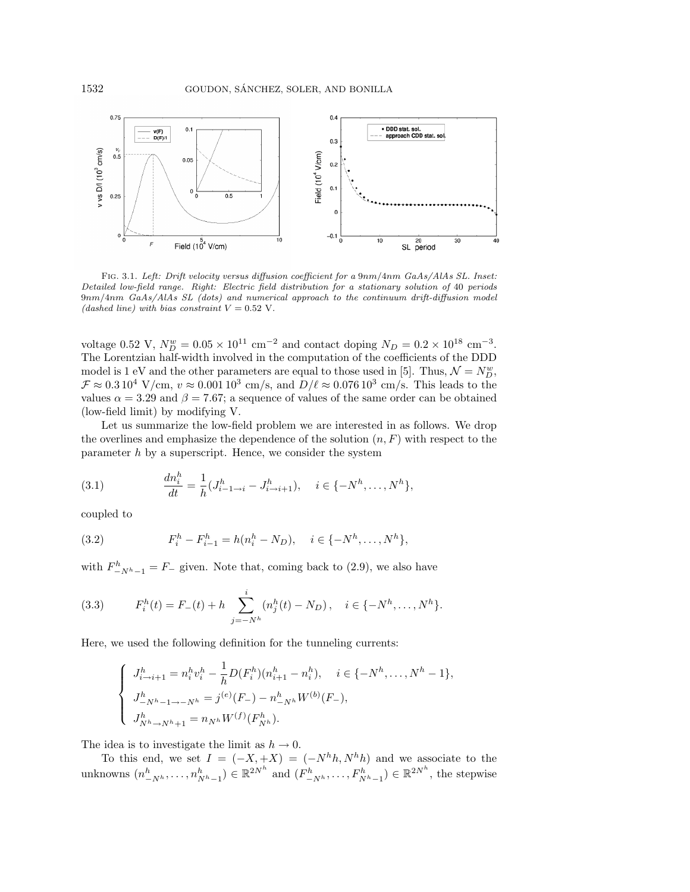

FIG. 3.1. Left: Drift velocity versus diffusion coefficient for a 9nm/4nm GaAs/AlAs SL. Inset: Detailed low-field range. Right: Electric field distribution for a stationary solution of 40 periods 9nm/4nm GaAs/AlAs SL (dots) and numerical approach to the continuum drift-diffusion model (dashed line) with bias constraint  $V = 0.52$  V.

voltage 0.52 V,  $N_D^w = 0.05 \times 10^{11}$  cm<sup>-2</sup> and contact doping  $N_D = 0.2 \times 10^{18}$  cm<sup>-3</sup>. The Lorentzian half-width involved in the computation of the coefficients of the DDD model is 1 eV and the other parameters are equal to those used in [5]. Thus,  $\mathcal{N} = N_D^w$ ,  $\mathcal{F} \approx 0.3\,10^4$  V/cm,  $v \approx 0.001\,10^3$  cm/s, and  $D/\ell \approx 0.076\,10^3$  cm/s. This leads to the values  $\alpha = 3.29$  and  $\beta = 7.67$ ; a sequence of values of the same order can be obtained (low-field limit) by modifying V.

Let us summarize the low-field problem we are interested in as follows. We drop the overlines and emphasize the dependence of the solution  $(n, F)$  with respect to the parameter  $h$  by a superscript. Hence, we consider the system

(3.1) 
$$
\frac{dn_i^h}{dt} = \frac{1}{h}(J_{i-1 \to i}^h - J_{i \to i+1}^h), \quad i \in \{-N^h, \dots, N^h\},\
$$

coupled to

(3.2) 
$$
F_i^h - F_{i-1}^h = h(n_i^h - N_D), \quad i \in \{-N^h, \dots, N^h\},\
$$

with  $F_{-Nh-1}^h = F_-$  given. Note that, coming back to (2.9), we also have

(3.3) 
$$
F_i^h(t) = F_-(t) + h \sum_{j=-N^h}^i (n_j^h(t) - N_D), \quad i \in \{-N^h, \dots, N^h\}.
$$

Here, we used the following definition for the tunneling currents:

$$
\begin{cases}\nJ_{i\to i+1}^h = n_i^h v_i^h - \frac{1}{h} D(F_i^h)(n_{i+1}^h - n_i^h), \quad i \in \{-N^h, \dots, N^h - 1\}, \\
J_{-N^h - 1 \to -N^h}^h = j^{(e)}(F_-) - n_{-N^h}^h W^{(b)}(F_-), \\
J_{N^h \to N^h + 1}^h = n_{N^h} W^{(f)}(F_{N^h}^h).\n\end{cases}
$$

The idea is to investigate the limit as  $h \to 0$ .

To this end, we set  $I = (-X, +X) = (-N^h h, N^h h)$  and we associate to the unknowns  $(n_{-N^h}^h, \ldots, n_{N^h-1}^h) \in \mathbb{R}^{2N^h}$  and  $(F_{-N^h}^h, \ldots, F_{N^h-1}^h) \in \mathbb{R}^{2N^h}$ , the stepwise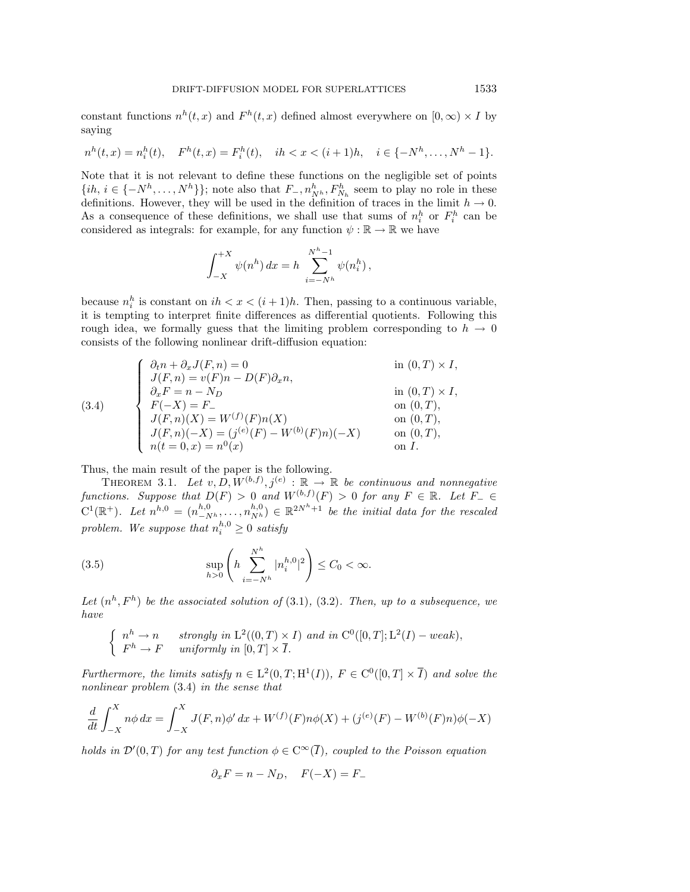constant functions  $n^h(t, x)$  and  $F^h(t, x)$  defined almost everywhere on  $[0, \infty) \times I$  by saying

$$
n^{h}(t,x) = n_{i}^{h}(t), \quad F^{h}(t,x) = F_{i}^{h}(t), \quad ih < x < (i+1)h, \quad i \in \{-N^{h}, \dots, N^{h}-1\}.
$$

Note that it is not relevant to define these functions on the negligible set of points  $\{ih, i \in \{-N^h, \ldots, N^h\}\};$  note also that  $F_-, n^h_{N^h}, F^h_{N^h}$  seem to play no role in these definitions. However, they will be used in the definition of traces in the limit  $h \to 0$ . As a consequence of these definitions, we shall use that sums of  $n_i^h$  or  $F_i^h$  can be considered as integrals: for example, for any function  $\psi : \mathbb{R} \to \mathbb{R}$  we have

$$
\int_{-X}^{+X} \psi(n^h) dx = h \sum_{i=-N^h}^{N^h-1} \psi(n_i^h),
$$

because  $n_i^h$  is constant on  $ih < x < (i + 1)h$ . Then, passing to a continuous variable, it is tempting to interpret finite differences as differential quotients. Following this rough idea, we formally guess that the limiting problem corresponding to  $h \to 0$ consists of the following nonlinear drift-diffusion equation:

(3.4)  
\n
$$
\begin{cases}\n\partial_t n + \partial_x J(F, n) = 0 & \text{in } (0, T) \times I, \\
J(F, n) = v(F)n - D(F)\partial_x n, \\
\partial_x F = n - N_D & \text{in } (0, T) \times I, \\
F(-X) = F_{-} & \text{on } (0, T), \\
J(F, n)(X) = W^{(f)}(F)n(X) & \text{on } (0, T), \\
J(F, n)(-X) = (j^{(e)}(F) - W^{(b)}(F)n)(-X) & \text{on } (0, T), \\
n(t = 0, x) = n^0(x) & \text{on } I.\n\end{cases}
$$

Thus, the main result of the paper is the following.

THEOREM 3.1. Let  $v, D, W^{(b,f)}, j^{(e)} : \mathbb{R} \to \mathbb{R}$  be continuous and nonnegative functions. Suppose that  $D(F) > 0$  and  $W^{(b,f)}(F) > 0$  for any  $F \in \mathbb{R}$ . Let  $F_{-} \in$  $C^1(\mathbb{R}^+)$ . Let  $n^{h,0} = (n^{h,0}_{-N^h}, \ldots, n^{h,0}_{N^h}) \in \mathbb{R}^{2N^h+1}$  be the initial data for the rescaled problem. We suppose that  $n_i^{h,0} \geq 0$  satisfy

(3.5) 
$$
\sup_{h>0} \left( h \sum_{i=-N^h}^{N^h} |n_i^{h,0}|^2 \right) \leq C_0 < \infty.
$$

Let  $(n^h, F^h)$  be the associated solution of  $(3.1), (3.2)$ . Then, up to a subsequence, we have

$$
\begin{cases}\n n^h \to n & \text{strongly in } \mathcal{L}^2((0,T) \times I) \text{ and in } \mathcal{C}^0([0,T]; \mathcal{L}^2(I) - weak), \\
 F^h \to F & \text{uniformly in } [0,T] \times \overline{I}.\n\end{cases}
$$

Furthermore, the limits satisfy  $n \in L^2(0,T;H^1(I)), F \in C^0([0,T] \times \overline{I})$  and solve the nonlinear problem (3.4) in the sense that

$$
\frac{d}{dt} \int_{-X}^{X} n\phi \, dx = \int_{-X}^{X} J(F, n)\phi' \, dx + W^{(f)}(F)n\phi(X) + (j^{(e)}(F) - W^{(b)}(F)n)\phi(-X)
$$

holds in  $\mathcal{D}'(0,T)$  for any test function  $\phi \in C^{\infty}(\overline{I})$ , coupled to the Poisson equation

$$
\partial_x F = n - N_D, \quad F(-X) = F_-
$$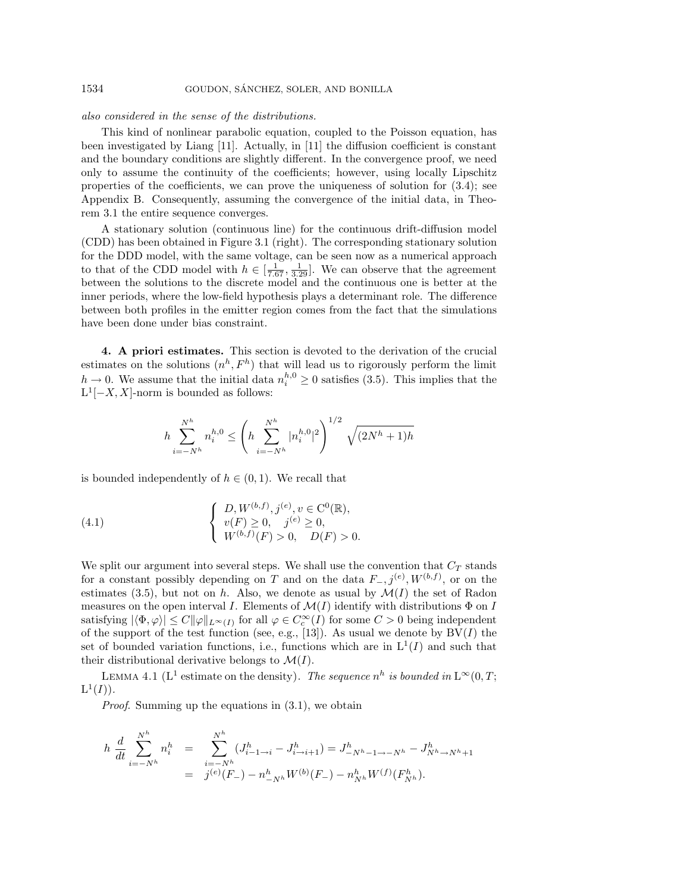## also considered in the sense of the distributions.

This kind of nonlinear parabolic equation, coupled to the Poisson equation, has been investigated by Liang [11]. Actually, in [11] the diffusion coefficient is constant and the boundary conditions are slightly different. In the convergence proof, we need only to assume the continuity of the coefficients; however, using locally Lipschitz properties of the coefficients, we can prove the uniqueness of solution for  $(3.4)$ ; see Appendix B. Consequently, assuming the convergence of the initial data, in Theorem 3.1 the entire sequence converges.

A stationary solution (continuous line) for the continuous drift-diffusion model (CDD) has been obtained in Figure 3.1 (right). The corresponding stationary solution for the DDD model, with the same voltage, can be seen now as a numerical approach to that of the CDD model with  $h \in \left[\frac{1}{7.67}, \frac{1}{3.29}\right]$ . We can observe that the agreement between the solutions to the discrete model and the continuous one is better at the inner periods, where the low-field hypothesis plays a determinant role. The difference between both profiles in the emitter region comes from the fact that the simulations have been done under bias constraint.

**4. A priori estimates.** This section is devoted to the derivation of the crucial estimates on the solutions  $(n^h, F^h)$  that will lead us to rigorously perform the limit  $h \to 0$ . We assume that the initial data  $n_i^{h,0} \ge 0$  satisfies (3.5). This implies that the  $L^{1}[-X, X]$ -norm is bounded as follows:

$$
h\sum_{i=-N^h}^{N^h} n_i^{h,0} \le \left(h\sum_{i=-N^h}^{N^h} |n_i^{h,0}|^2\right)^{1/2} \sqrt{(2N^h+1)h}
$$

is bounded independently of  $h \in (0,1)$ . We recall that

(4.1) 
$$
\begin{cases} D, W^{(b,f)}, j^{(e)}, v \in C^{0}(\mathbb{R}), \\ v(F) \ge 0, \quad j^{(e)} \ge 0, \\ W^{(b,f)}(F) > 0, \quad D(F) > 0. \end{cases}
$$

We split our argument into several steps. We shall use the convention that  $C_T$  stands for a constant possibly depending on T and on the data  $F_-, j^{(e)}, W^{(b,f)}$ , or on the estimates (3.5), but not on h. Also, we denote as usual by  $\mathcal{M}(I)$  the set of Radon measures on the open interval I. Elements of  $\mathcal{M}(I)$  identify with distributions  $\Phi$  on I satisfying  $|\langle \Phi, \varphi \rangle| \leq C ||\varphi||_{L^{\infty}(I)}$  for all  $\varphi \in C_c^{\infty}(I)$  for some  $C > 0$  being independent of the support of the test function (see, e.g., [13]). As usual we denote by  $BV(I)$  the set of bounded variation functions, i.e., functions which are in  $L^1(I)$  and such that their distributional derivative belongs to  $\mathcal{M}(I)$ .

LEMMA 4.1 (L<sup>1</sup> estimate on the density). The sequence  $n^h$  is bounded in  $L^{\infty}(0,T;$  $L^1(I)$ ).

Proof. Summing up the equations in (3.1), we obtain

$$
h \frac{d}{dt} \sum_{i=-N^h}^{N^h} n_i^h = \sum_{i=-N^h}^{N^h} (J_{i-1\to i}^h - J_{i\to i+1}^h) = J_{-N^h-1\to -N^h}^h - J_{N^h\to N^h+1}^h
$$
  
=  $j^{(e)}(F_-) - n_{-N^h}^h W^{(b)}(F_-) - n_{N^h}^h W^{(f)}(F_{N^h}^h).$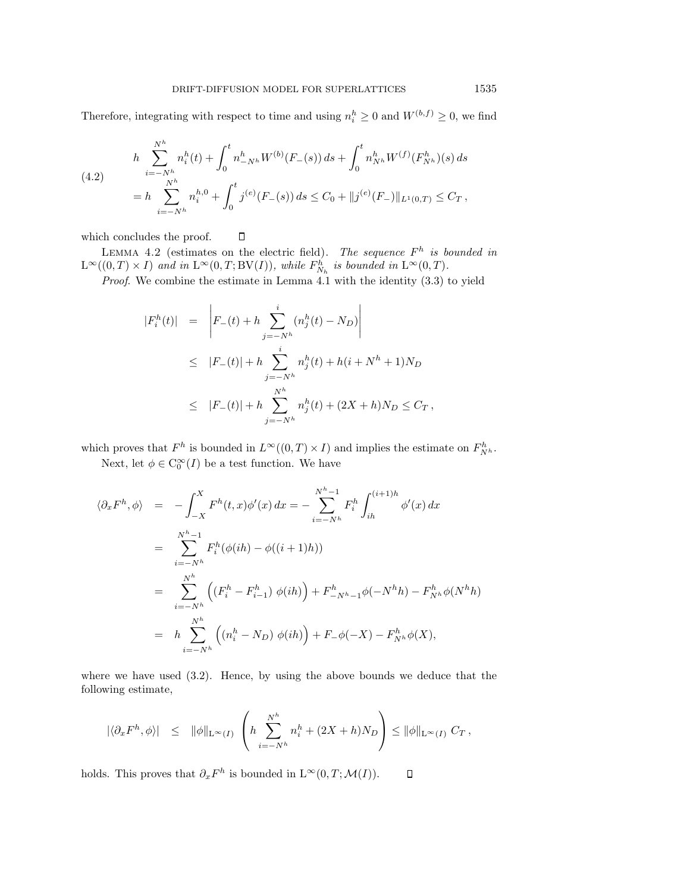Therefore, integrating with respect to time and using  $n_i^h \geq 0$  and  $W^{(b,f)} \geq 0$ , we find

(4.2) 
$$
h \sum_{i=-N^h}^{N^h} n_i^h(t) + \int_0^t n_{-N^h}^h W^{(b)}(F_-(s)) ds + \int_0^t n_{N^h}^h W^{(f)}(F_{N^h}^h)(s) ds
$$

$$
= h \sum_{i=-N^h}^{N^h} n_i^{h,0} + \int_0^t j^{(e)}(F_-(s)) ds \le C_0 + ||j^{(e)}(F_-)||_{L^1(0,T)} \le C_T,
$$

which concludes the proof.  $\Box$ 

LEMMA 4.2 (estimates on the electric field). The sequence  $F^h$  is bounded in  $L^{\infty}((0,T) \times I)$  and in  $L^{\infty}(0,T;BV(I)),$  while  $F^h_{N_h}$  is bounded in  $L^{\infty}(0,T)$ .

Proof. We combine the estimate in Lemma 4.1 with the identity  $(3.3)$  to yield

$$
|F_i^h(t)| = \left| F_-(t) + h \sum_{j=-N^h}^i (n_j^h(t) - N_D) \right|
$$
  
\n
$$
\leq |F_-(t)| + h \sum_{j=-N^h}^i n_j^h(t) + h(i + N^h + 1)N_D
$$
  
\n
$$
\leq |F_-(t)| + h \sum_{j=-N^h}^N n_j^h(t) + (2X + h)N_D \leq C_T,
$$

which proves that  $F^h$  is bounded in  $L^{\infty}((0,T) \times I)$  and implies the estimate on  $F^h_{N^h}$ .

Next, let  $\phi \in C_0^{\infty}(I)$  be a test function. We have

$$
\langle \partial_x F^h, \phi \rangle = - \int_{-X}^X F^h(t, x) \phi'(x) dx = - \sum_{i=-N^h}^{N^h - 1} F_i^h \int_{ih}^{(i+1)h} \phi'(x) dx
$$
  

$$
= \sum_{i=-N^h}^{N^h - 1} F_i^h(\phi(ih) - \phi((i+1)h))
$$
  

$$
= \sum_{i=-N^h}^{N^h} \left( (F_i^h - F_{i-1}^h) \phi(ih) \right) + F_{-N^h - 1}^h \phi(-N^h h) - F_{N^h}^h \phi(N^h h)
$$
  

$$
= h \sum_{i=-N^h}^{N^h} \left( (n_i^h - N_D) \phi(ih) \right) + F_{-} \phi(-X) - F_{N^h}^h \phi(X),
$$

where we have used  $(3.2)$ . Hence, by using the above bounds we deduce that the following estimate,

$$
|\langle \partial_x F^h, \phi \rangle| \leq ||\phi||_{\mathcal{L}^{\infty}(I)} \left( h \sum_{i=-N^h}^{N^h} n_i^h + (2X+h)N_D \right) \leq ||\phi||_{\mathcal{L}^{\infty}(I)} C_T,
$$

holds. This proves that  $\partial_x F^h$  is bounded in  $L^{\infty}(0, T; \mathcal{M}(I)).$  $\Box$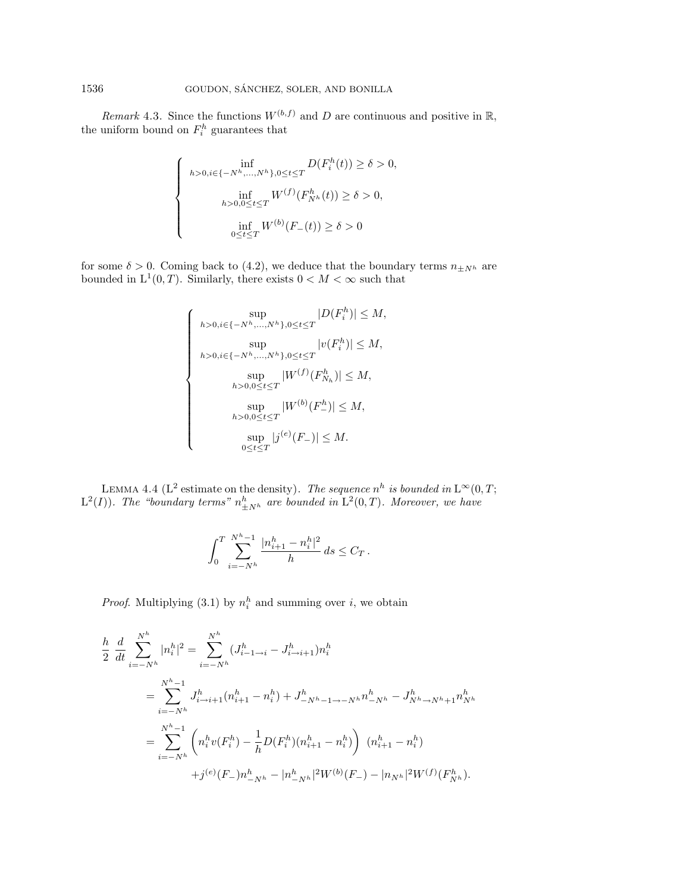Remark 4.3. Since the functions  $W^{(b,f)}$  and D are continuous and positive in R, the uniform bound on  $F_i^h$  guarantees that

$$
\begin{cases}\n\inf_{h>0, i \in \{-N^h, \dots, N^h\}, 0 \le t \le T} D(F_i^h(t)) \ge \delta > 0, \\
\inf_{h>0, 0 \le t \le T} W^{(f)}(F_{N^h}^h(t)) \ge \delta > 0, \\
\inf_{0 \le t \le T} W^{(b)}(F_-(t)) \ge \delta > 0\n\end{cases}
$$

for some  $\delta > 0$ . Coming back to (4.2), we deduce that the boundary terms  $n_{\pm N^h}$  are bounded in  $L^1(0,T)$ . Similarly, there exists  $0 < M < \infty$  such that

$$
\begin{cases}\n\sup_{h>0, i \in \{-N^h, \dots, N^h\}, 0 \le t \le T} |D(F_i^h)| \le M, \\
\sup_{h>0, i \in \{-N^h, \dots, N^h\}, 0 \le t \le T} |v(F_i^h)| \le M, \\
\sup_{h>0, 0 \le t \le T} |W^{(f)}(F_{N_h}^h)| \le M, \\
\sup_{h>0, 0 \le t \le T} |W^{(b)}(F_{-}^h)| \le M, \\
\sup_{0 \le t \le T} |j^{(e)}(F_{-})| \le M.\n\end{cases}
$$

LEMMA 4.4 (L<sup>2</sup> estimate on the density). The sequence  $n^h$  is bounded in  $L^{\infty}(0,T;$  $L^2(I)$ ). The "boundary terms"  $n_{\pm N^h}^h$  are bounded in  $L^2(0,T)$ . Moreover, we have

$$
\int_0^T \sum_{i=-N^h}^{N^h-1} \frac{|n^h_{i+1}-n^h_i|^2}{h} ds \leq C_T.
$$

*Proof.* Multiplying (3.1) by  $n_i^h$  and summing over i, we obtain

$$
\frac{h}{2} \frac{d}{dt} \sum_{i=-N^h}^{N^h} |n_i^h|^2 = \sum_{i=-N^h}^{N^h} (J_{i-1\to i}^h - J_{i\to i+1}^h) n_i^h
$$
\n
$$
= \sum_{i=-N^h}^{N^h-1} J_{i\to i+1}^h (n_{i+1}^h - n_i^h) + J_{-N^h-1\to -N^h}^h n_{-N^h}^h - J_{N^h\to N^h+1}^h n_{N^h}^h
$$
\n
$$
= \sum_{i=-N^h}^{N^h-1} \left( n_i^h v(F_i^h) - \frac{1}{h} D(F_i^h) (n_{i+1}^h - n_i^h) \right) (n_{i+1}^h - n_i^h)
$$
\n
$$
+ j^{(e)}(F_-) n_{-N^h}^h - |n_{-N^h}^h|^2 W^{(b)}(F_-) - |n_{N^h}|^2 W^{(f)}(F_{N^h}^h).
$$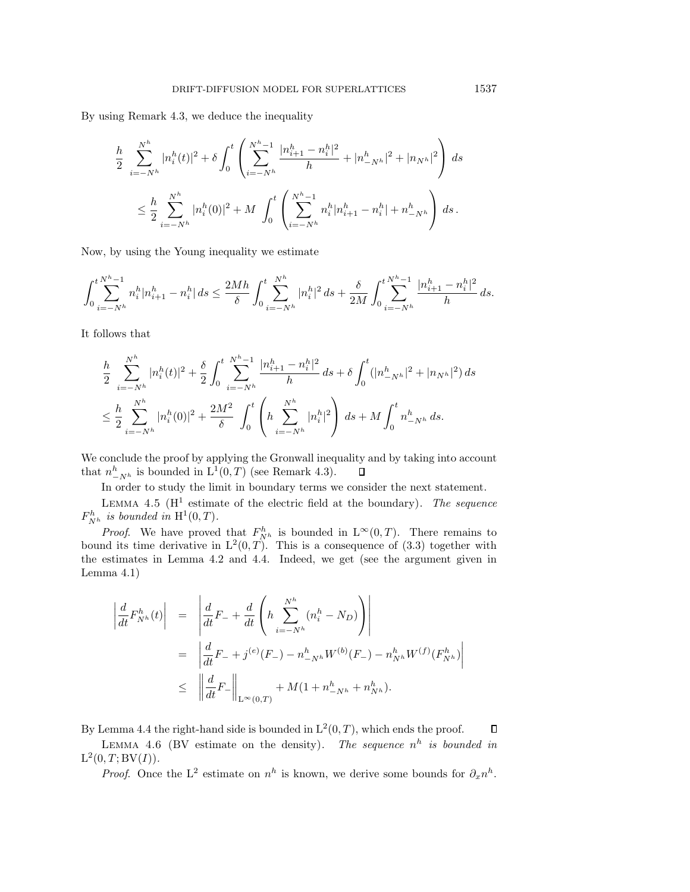By using Remark 4.3, we deduce the inequality

$$
\frac{h}{2} \sum_{i=-N^h}^{N^h} |n_i^h(t)|^2 + \delta \int_0^t \left( \sum_{i=-N^h}^{N^h-1} \frac{|n_{i+1}^h - n_i^h|^2}{h} + |n_{-N^h}^h|^2 + |n_{N^h}|^2 \right) ds
$$
  

$$
\leq \frac{h}{2} \sum_{i=-N^h}^{N^h} |n_i^h(0)|^2 + M \int_0^t \left( \sum_{i=-N^h}^{N^h-1} n_i^h |n_{i+1}^h - n_i^h| + n_{-N^h}^h \right) ds.
$$

Now, by using the Young inequality we estimate

$$
\int_0^t \sum_{i=-N^h}^{N^h-1} n_i^h |n_{i+1}^h - n_i^h| \, ds \leq \frac{2Mh}{\delta} \int_0^t \sum_{i=-N^h}^{N^h} |n_i^h|^2 \, ds + \frac{\delta}{2M} \int_0^t \sum_{i=-N^h}^{N^h-1} \frac{|n_{i+1}^h - n_i^h|^2}{h} \, ds.
$$

It follows that

$$
\frac{h}{2} \sum_{i=-N^h}^{N^h} |n_i^h(t)|^2 + \frac{\delta}{2} \int_0^t \sum_{i=-N^h}^{N^h-1} \frac{|n_{i+1}^h - n_i^h|^2}{h} ds + \delta \int_0^t (|n_{-N^h}^h|^2 + |n_{N^h}|^2) ds
$$
  

$$
\leq \frac{h}{2} \sum_{i=-N^h}^{N^h} |n_i^h(0)|^2 + \frac{2M^2}{\delta} \int_0^t \left( h \sum_{i=-N^h}^{N^h} |n_i^h|^2 \right) ds + M \int_0^t n_{-N^h}^h ds.
$$

We conclude the proof by applying the Gronwall inequality and by taking into account that  $n_{-N^h}^h$  is bounded in  $L^1(0,T)$  (see Remark 4.3).  $\Box$ 

In order to study the limit in boundary terms we consider the next statement.

LEMMA 4.5 ( $H^1$  estimate of the electric field at the boundary). The sequence  $F_{N^h}^h$  is bounded in  $\mathrm{H}^1(0,T)$ .

*Proof.* We have proved that  $F_{N^h}^h$  is bounded in  $L^{\infty}(0,T)$ . There remains to bound its time derivative in  $L^2(0,T)$ . This is a consequence of (3.3) together with the estimates in Lemma 4.2 and 4.4. Indeed, we get (see the argument given in Lemma 4.1)

$$
\left| \frac{d}{dt} F_{N^h}^h(t) \right| = \left| \frac{d}{dt} F_- + \frac{d}{dt} \left( h \sum_{i=-N^h}^{N^h} (n_i^h - N_D) \right) \right|
$$
  
\n
$$
= \left| \frac{d}{dt} F_- + j^{(e)}(F_-) - n_{-N^h}^h W^{(b)}(F_-) - n_{N^h}^h W^{(f)}(F_{N^h}^h) \right|
$$
  
\n
$$
\leq \left| \left| \frac{d}{dt} F_- \right|_{L^{\infty}(0,T)} + M(1 + n_{-N^h}^h + n_{N^h}^h).
$$

By Lemma 4.4 the right-hand side is bounded in  $L^2(0,T)$ , which ends the proof.  $\Box$ 

LEMMA 4.6 (BV estimate on the density). The sequence  $n^h$  is bounded in  $L^2(0, T; BV(I)).$ 

*Proof.* Once the L<sup>2</sup> estimate on  $n^h$  is known, we derive some bounds for  $\partial_x n^h$ .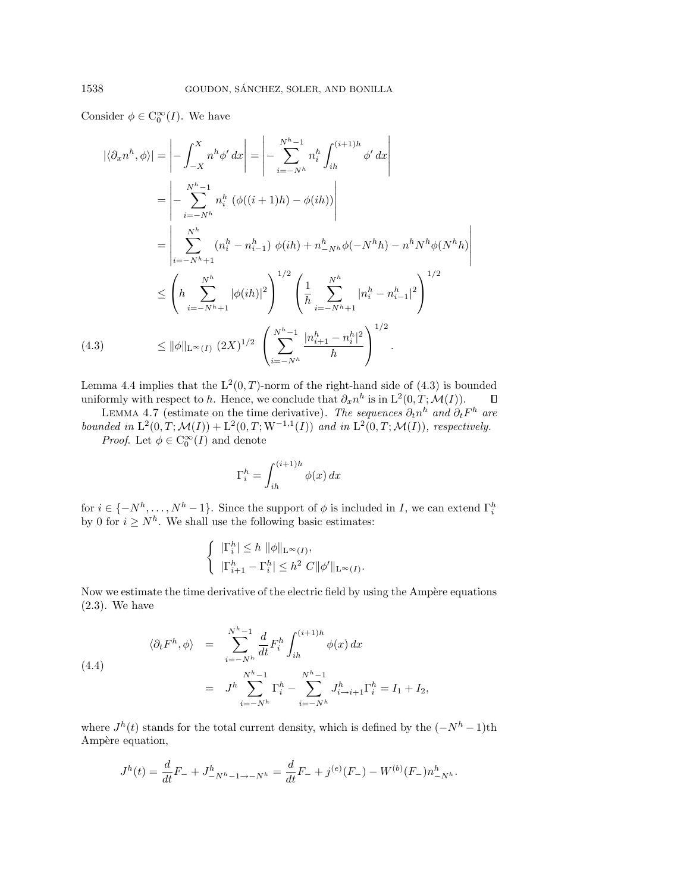Consider  $\phi \in C_0^{\infty}(I)$ . We have

$$
|\langle \partial_x n^h, \phi \rangle| = \left| - \int_{-X}^{X} n^h \phi' dx \right| = \left| - \sum_{i=-N^h}^{N^h - 1} n_i^h \int_{ih}^{(i+1)h} \phi' dx \right|
$$
  
\n
$$
= \left| - \sum_{i=-N^h}^{N^h - 1} n_i^h \left( \phi((i+1)h) - \phi(ih) \right) \right|
$$
  
\n
$$
= \left| \sum_{i=-N^h + 1}^{N^h} (n_i^h - n_{i-1}^h) \phi(ih) + n_{-N^h}^h \phi(-N^h h) - n^h N^h \phi(N^h h) \right|
$$
  
\n
$$
\leq \left( h \sum_{i=-N^h + 1}^{N^h} |\phi(ih)|^2 \right)^{1/2} \left( \frac{1}{h} \sum_{i=-N^h + 1}^{N^h} |n_i^h - n_{i-1}^h|^2 \right)^{1/2}
$$
  
\n(4.3) 
$$
\leq ||\phi||_{\mathcal{L}^{\infty}(I)} (2X)^{1/2} \left( \sum_{i=-N^h}^{N^h - 1} \frac{|n_{i+1}^h - n_i^h|^2}{h} \right)^{1/2}.
$$

Lemma 4.4 implies that the  $L^2(0, T)$ -norm of the right-hand side of (4.3) is bounded uniformly with respect to h. Hence, we conclude that  $\partial_x n^h$  is in  $L^2(0, T; \mathcal{M}(I)).$  $\Box$ 

LEMMA 4.7 (estimate on the time derivative). The sequences  $\partial_t n^h$  and  $\partial_t F^h$  are bounded in  $L^2(0,T; \mathcal{M}(I)) + L^2(0,T; W^{-1,1}(I))$  and in  $L^2(0,T; \mathcal{M}(I))$ , respectively.

*Proof.* Let  $\phi \in C_0^{\infty}(I)$  and denote

$$
\Gamma_i^h = \int_{ih}^{(i+1)h} \phi(x) \, dx
$$

for  $i \in \{-N^h, \ldots, N^h-1\}$ . Since the support of  $\phi$  is included in  $I$ , we can extend  $\Gamma_i^h$  by 0 for  $i \geq N^h$ . We shall use the following basic estimates:

$$
\begin{cases} \|\Gamma_i^h\| \le h \|\phi\|_{\mathcal{L}^\infty(I)}, \\ \|\Gamma_{i+1}^h - \Gamma_i^h\| \le h^2 \ C \|\phi'\|_{\mathcal{L}^\infty(I)}.\end{cases}
$$

Now we estimate the time derivative of the electric field by using the Ampère equations (2.3). We have

(4.4)  
\n
$$
\langle \partial_t F^h, \phi \rangle = \sum_{i=-N^h}^{N^h-1} \frac{d}{dt} F_i^h \int_{ih}^{(i+1)h} \phi(x) dx
$$
\n
$$
= J^h \sum_{i=-N^h}^{N^h-1} \Gamma_i^h - \sum_{i=-N^h}^{N^h-1} J_{i\to i+1}^h \Gamma_i^h = I_1 + I_2,
$$

where  $J<sup>h</sup>(t)$  stands for the total current density, which is defined by the  $(-N<sup>h</sup> - 1)$ th Ampère equation,

$$
J^{h}(t) = \frac{d}{dt}F_{-} + J^{h}_{-N^{h}-1 \to -N^{h}} = \frac{d}{dt}F_{-} + j^{(e)}(F_{-}) - W^{(b)}(F_{-})n^{h}_{-N^{h}}.
$$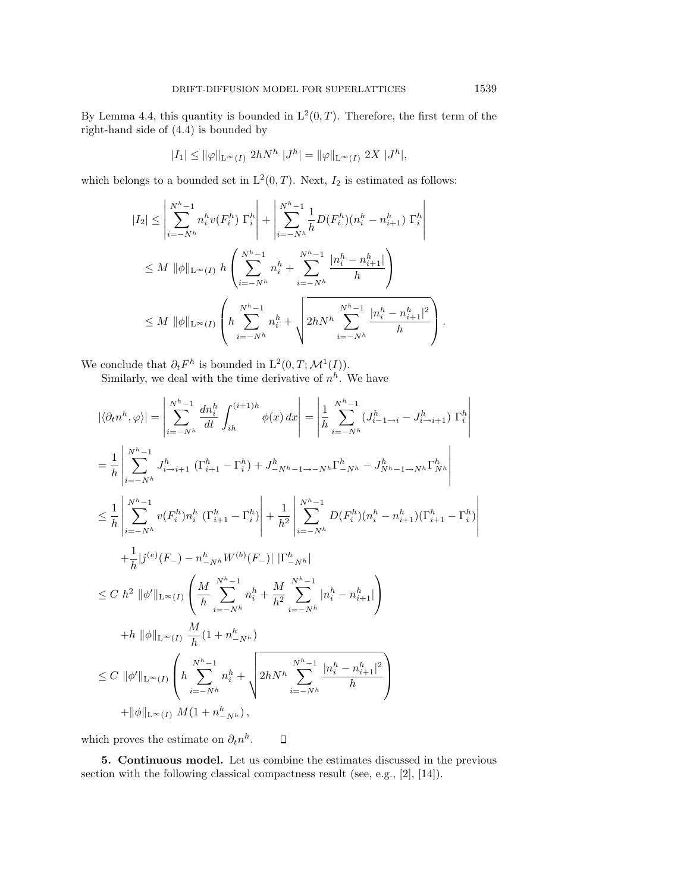By Lemma 4.4, this quantity is bounded in  $L^2(0,T)$ . Therefore, the first term of the right-hand side of (4.4) is bounded by

$$
|I_1|\leq \|\varphi\|_{{\bf L}^\infty(I)}\ 2hN^h\ |J^h|=\|\varphi\|_{{\bf L}^\infty(I)}\ 2X\ |J^h|,
$$

which belongs to a bounded set in  $L^2(0,T)$ . Next,  $I_2$  is estimated as follows:

$$
|I_{2}| \leq \left| \sum_{i=-N^{h}}^{N^{h}-1} n_{i}^{h} v(F_{i}^{h}) \Gamma_{i}^{h} \right| + \left| \sum_{i=-N^{h}}^{N^{h}-1} \frac{1}{h} D(F_{i}^{h}) (n_{i}^{h} - n_{i+1}^{h}) \Gamma_{i}^{h} \right|
$$
  

$$
\leq M \|\phi\|_{\mathcal{L}^{\infty}(I)} h \left( \sum_{i=-N^{h}}^{N^{h}-1} n_{i}^{h} + \sum_{i=-N^{h}}^{N^{h}-1} \frac{[n_{i}^{h} - n_{i+1}^{h}]}{h} \right)
$$
  

$$
\leq M \|\phi\|_{\mathcal{L}^{\infty}(I)} \left( h \sum_{i=-N^{h}}^{N^{h}-1} n_{i}^{h} + \sqrt{2hN^{h} \sum_{i=-N^{h}}^{N^{h}-1} \frac{[n_{i}^{h} - n_{i+1}^{h}]^{2}}{h}} \right).
$$

We conclude that  $\partial_t F^h$  is bounded in  $\mathrm{L}^2(0,T;\mathcal{M}^1(I)).$ 

Similarly, we deal with the time derivative of  $n^h$ . We have

$$
\begin{split}\n&|\langle\partial_{t}n^{h},\varphi\rangle| = \left|\sum_{i=-N^{h}}^{N^{h}-1} \frac{dn_{i}^{h}}{dt} \int_{ih}^{(i+1)h} \phi(x) dx\right| = \left|\frac{1}{h} \sum_{i=-N^{h}}^{N^{h}-1} (J_{i-1\to i}^{h} - J_{i\to i+1}^{h}) \Gamma_{i}^{h}\right| \\
&= \frac{1}{h} \left|\sum_{i=-N^{h}}^{N^{h}-1} J_{i\to i+1}^{h} \left(\Gamma_{i+1}^{h} - \Gamma_{i}^{h}\right) + J_{-N^{h}-1\to -N^{h}}^{h} \Gamma_{-N^{h}}^{h} - J_{N^{h}-1\to N^{h}}^{h} \Gamma_{N^{h}}^{h}\right| \\
&\leq \frac{1}{h} \left|\sum_{i=-N^{h}}^{N^{h}-1} v(F_{i}^{h}) n_{i}^{h} \left(\Gamma_{i+1}^{h} - \Gamma_{i}^{h}\right) + \frac{1}{h^{2}} \left|\sum_{i=-N^{h}}^{N^{h}-1} D(F_{i}^{h}) (n_{i}^{h} - n_{i+1}^{h}) (\Gamma_{i+1}^{h} - \Gamma_{i}^{h}) + \frac{1}{h} \left|j^{(e)}(F_{-}) - n_{-N^{h}}^{h} W^{(b)}(F_{-})\right| |\Gamma_{-N^{h}}^{h}| \right| \\
&\leq C \ h^{2} \|\phi'\|_{\mathcal{L}^{\infty}(I)} \left(\frac{M}{h} \sum_{i=-N^{h}}^{N^{h}-1} n_{i}^{h} + \frac{M}{h^{2}} \sum_{i=-N^{h}}^{N^{h}-1} |n_{i}^{h} - n_{i+1}^{h}| \right) \\
&\quad + h \ \|\phi\|_{\mathcal{L}^{\infty}(I)} \frac{M}{h} (1 + n_{-N^{h}}^{h}) \\
&\leq C \ \|\phi'\|_{\mathcal{L}^{\infty}(I)} \left(\frac{N^{h}-1}{h} n_{i}^{h} + \sqrt{2hN^{h} \sum_{i=-N^{h}}^{N^{h}-1} \frac{|n_{i}^{h} - n_{i+1}^{h}|^{2}}{h}}\right) \\
&\quad + \|\phi\|_{\mathcal{L}^{\infty}(I)} M (1 + n_{-N^{h}}^{h}),\n\end{
$$

which proves the estimate on  $\partial_t n^h$ .  $\Box$ 

**5. Continuous model.** Let us combine the estimates discussed in the previous section with the following classical compactness result (see, e.g., [2], [14]).

 $\overline{\phantom{a}}$  $\overline{\phantom{a}}$  $\overline{\phantom{a}}$  $\overline{\phantom{a}}$  $\overline{\phantom{a}}$  $\mid$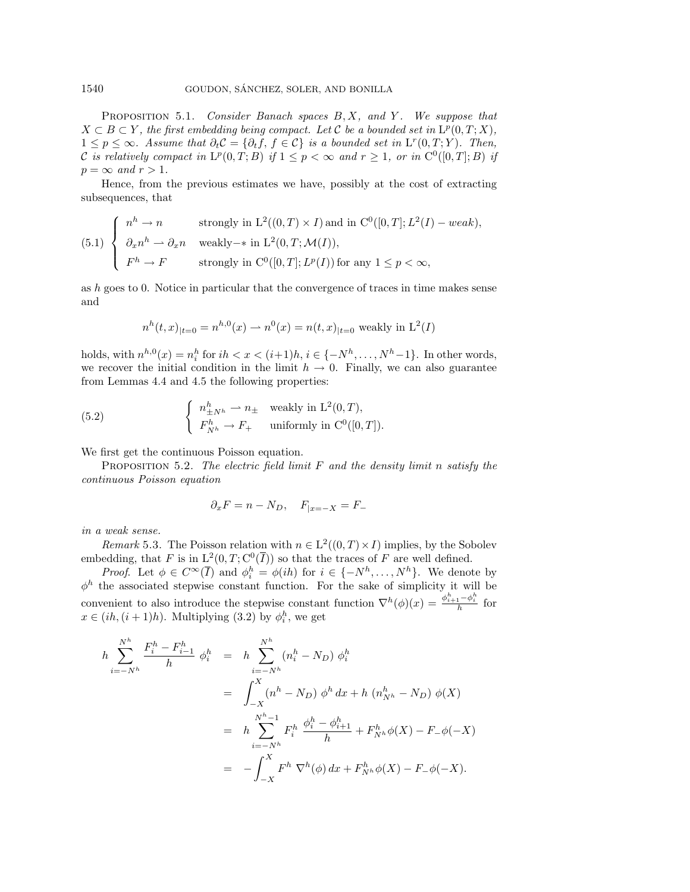PROPOSITION 5.1. Consider Banach spaces  $B, X$ , and Y. We suppose that  $X \subset B \subset Y$ , the first embedding being compact. Let C be a bounded set in  $L^p(0,T;X)$ ,  $1 \leq p \leq \infty$ . Assume that  $\partial_t \mathcal{C} = {\partial_t f, f \in \mathcal{C}}$  is a bounded set in  $L^r(0,T;Y)$ . Then, C is relatively compact in  $L^p(0,T;B)$  if  $1 \leq p < \infty$  and  $r \geq 1$ , or in  $C^0([0,T];B)$  if  $p = \infty$  and  $r > 1$ .

Hence, from the previous estimates we have, possibly at the cost of extracting subsequences, that

(5.1) 
$$
\begin{cases} n^h \to n & \text{strongly in } L^2((0,T) \times I) \text{ and in } C^0([0,T]; L^2(I) - weak), \\ \partial_x n^h \to \partial_x n & \text{weakly}-* \text{ in } L^2(0,T; \mathcal{M}(I)), \\ F^h \to F & \text{strongly in } C^0([0,T]; L^p(I)) \text{ for any } 1 \le p < \infty, \end{cases}
$$

as h goes to 0. Notice in particular that the convergence of traces in time makes sense and

$$
n^{h}(t,x)_{|t=0} = n^{h,0}(x) \longrightarrow n^{0}(x) = n(t,x)_{|t=0}
$$
 weakly in L<sup>2</sup>(*I*)

holds, with  $n^{h,0}(x) = n_i^h$  for  $ih < x < (i+1)h, i \in \{-N^h, \ldots, N^h-1\}$ . In other words, we recover the initial condition in the limit  $h \to 0$ . Finally, we can also guarantee from Lemmas 4.4 and 4.5 the following properties:

(5.2) 
$$
\begin{cases} n_{\pm N^h}^h \to n_{\pm} \quad \text{weakly in } L^2(0,T), \\ F_{N^h}^h \to F_+ \quad \text{uniformly in } C^0([0,T]). \end{cases}
$$

We first get the continuous Poisson equation.

PROPOSITION 5.2. The electric field limit F and the density limit n satisfy the continuous Poisson equation

$$
\partial_x F = n - N_D, \quad F_{|x=-X} = F_-
$$

in a weak sense.

*Remark* 5.3. The Poisson relation with  $n \in L^2((0,T) \times I)$  implies, by the Sobolev embedding, that F is in  $L^2(0,T; \mathcal{C}^0(\overline{I}))$  so that the traces of F are well defined.

*Proof.* Let  $\phi \in C^{\infty}(\overline{I})$  and  $\phi_i^h = \phi(ih)$  for  $i \in \{-N^h, \ldots, N^h\}$ . We denote by  $\phi^h$  the associated stepwise constant function. For the sake of simplicity it will be convenient to also introduce the stepwise constant function  $\nabla^h(\phi)(x) = \frac{\phi_{i+1}^h - \phi_i^h}{h}$  for  $x \in (ih, (i+1)h)$ . Multiplying (3.2) by  $\phi_i^h$ , we get

$$
h \sum_{i=-N^h}^{N^h} \frac{F_i^h - F_{i-1}^h}{h} \phi_i^h = h \sum_{i=-N^h}^{N^h} (n_i^h - N_D) \phi_i^h
$$
  

$$
= \int_{-X}^{X} (n^h - N_D) \phi^h dx + h (n_{N^h}^h - N_D) \phi(X)
$$
  

$$
= h \sum_{i=-N^h}^{N^h-1} F_i^h \frac{\phi_i^h - \phi_{i+1}^h}{h} + F_{N^h}^h \phi(X) - F_{-\phi}(-X)
$$
  

$$
= - \int_{-X}^{X} F_i^h \nabla^h(\phi) dx + F_{N^h}^h \phi(X) - F_{-\phi}(-X).
$$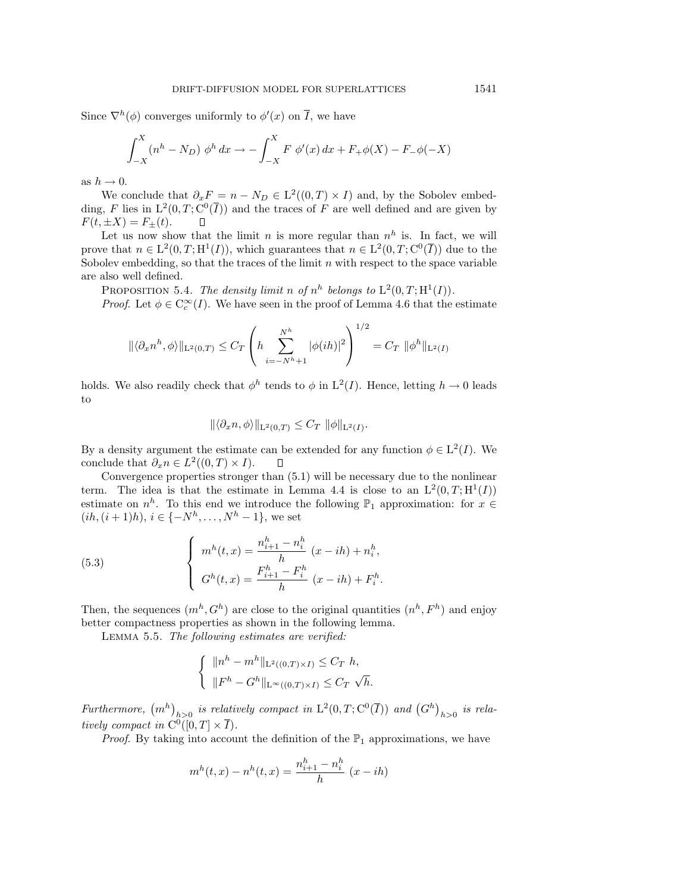Since  $\nabla^h(\phi)$  converges uniformly to  $\phi'(x)$  on  $\overline{I}$ , we have

$$
\int_{-X}^{X} (n^h - N_D) \phi^h dx \to -\int_{-X}^{X} F \phi'(x) dx + F_+ \phi(X) - F_- \phi(-X)
$$

as  $h \to 0$ .

We conclude that  $\partial_x F = n - N_D \in L^2((0,T) \times I)$  and, by the Sobolev embedding, F lies in  $L^2(0,T; \mathcal{C}^0(\overline{I}))$  and the traces of F are well defined and are given by  $F(t, \pm X) = F_{\pm}(t).$  $\Box$ 

Let us now show that the limit n is more regular than  $n^h$  is. In fact, we will prove that  $n \in L^2(0,T;H^1(I))$ , which guarantees that  $n \in L^2(0,T;C^0(\overline{I}))$  due to the Sobolev embedding, so that the traces of the limit  $n$  with respect to the space variable are also well defined.

PROPOSITION 5.4. The density limit n of  $n^h$  belongs to  $L^2(0,T;H^1(I))$ .

*Proof.* Let  $\phi \in C_c^{\infty}(I)$ . We have seen in the proof of Lemma 4.6 that the estimate

$$
\|\langle \partial_x n^h, \phi \rangle\|_{\mathcal{L}^2(0,T)} \leq C_T \left( h \sum_{i=-N^h+1}^{N^h} |\phi(ih)|^2 \right)^{1/2} = C_T \|\phi^h\|_{\mathcal{L}^2(I)}
$$

holds. We also readily check that  $\phi^h$  tends to  $\phi$  in  $L^2(I)$ . Hence, letting  $h \to 0$  leads to

$$
\|\langle \partial_x n, \phi \rangle\|_{\mathcal{L}^2(0,T)} \leq C_T \|\phi\|_{\mathcal{L}^2(I)}.
$$

By a density argument the estimate can be extended for any function  $\phi \in L^2(I)$ . We conclude that  $\partial_x n \in L^2((0,T) \times I)$ .  $\Box$ 

Convergence properties stronger than (5.1) will be necessary due to the nonlinear term. The idea is that the estimate in Lemma 4.4 is close to an  $L^2(0,T;H^1(I))$ estimate on  $n^h$ . To this end we introduce the following  $\mathbb{P}_1$  approximation: for  $x \in$  $(ih, (i + 1)h), i \in \{-N^h, \ldots, N^h - 1\}$ , we set

(5.3) 
$$
\begin{cases} m^{h}(t,x) = \frac{n_{i+1}^{h} - n_{i}^{h}}{h} (x - ih) + n_{i}^{h}, \\ G^{h}(t,x) = \frac{F_{i+1}^{h} - F_{i}^{h}}{h} (x - ih) + F_{i}^{h}. \end{cases}
$$

Then, the sequences  $(m^h, G^h)$  are close to the original quantities  $(n^h, F^h)$  and enjoy better compactness properties as shown in the following lemma.

Lemma 5.5. The following estimates are verified:

$$
\begin{cases} \|n^h - m^h\|_{\mathcal{L}^2((0,T)\times I)} \leq C_T \ h, \\ \|F^h - G^h\|_{\mathcal{L}^\infty((0,T)\times I)} \leq C_T \ \sqrt{h}. \end{cases}
$$

Furthermore,  $(m^h)_{h>0}$  is relatively compact in  $\mathrm{L}^2(0,T;\mathrm{C}^0(\overline{I}))$  and  $(G^h)_{h>0}$  is relatively compact in  $C^0([0,T] \times \overline{I}).$ 

*Proof.* By taking into account the definition of the  $\mathbb{P}_1$  approximations, we have

$$
m^{h}(t,x) - n^{h}(t,x) = \frac{n_{i+1}^{h} - n_{i}^{h}}{h} (x - ih)
$$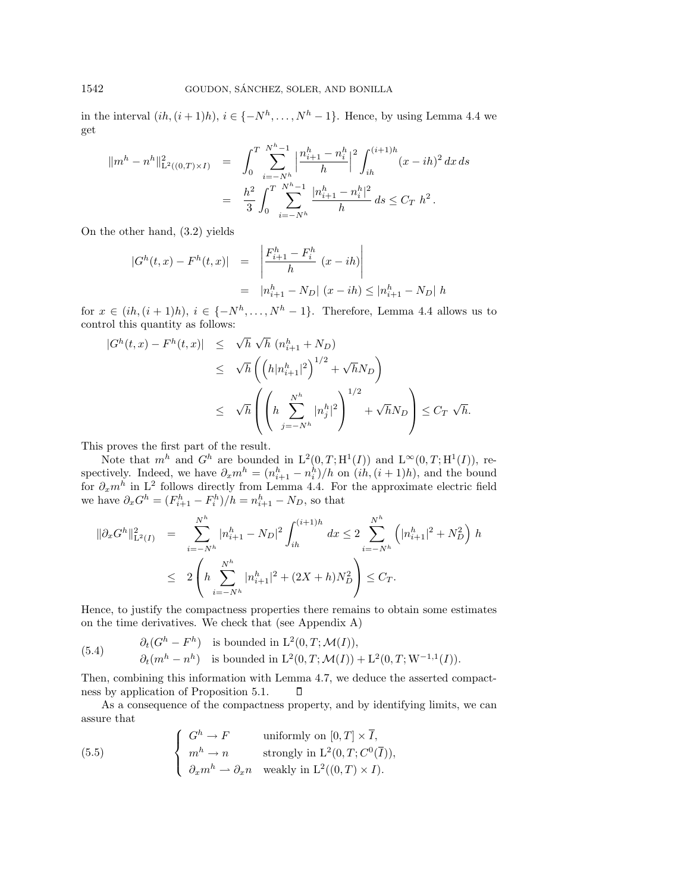in the interval  $(ih,(i+1)h), i \in \{-N^h,\ldots,N^h-1\}$ . Hence, by using Lemma 4.4 we get

$$
\begin{array}{rcl} \|m^h-n^h\|_{\mathrm{L}^2((0,T)\times I)}^2&=&\displaystyle\int_0^T\sum_{i=-N^h}^{N^h-1}\Big|\frac{n_{i+1}^h-n_i^h}{h}\Big|^2\int_{ih}^{(i+1)h}(x-ih)^2\,dx\,ds\\ &=&\displaystyle\frac{h^2}{3}\int_0^T\sum_{i=-N^h}^{N^h-1}\frac{|n_{i+1}^h-n_i^h|^2}{h}\,ds\leq C_T\,\,h^2\,. \end{array}
$$

On the other hand, (3.2) yields

$$
|G^{h}(t,x) - F^{h}(t,x)| = \left| \frac{F_{i+1}^{h} - F_{i}^{h}}{h} (x - ih) \right|
$$
  
=  $|n_{i+1}^{h} - N_{D}| (x - ih) \le |n_{i+1}^{h} - N_{D}| h$ 

for  $x \in (ih, (i+1)h), i \in \{-N^h, \ldots, N^h-1\}$ . Therefore, Lemma 4.4 allows us to control this quantity as follows:

$$
|G^h(t, x) - F^h(t, x)| \leq \sqrt{h} \sqrt{h} (n_{i+1}^h + N_D)
$$
  
\n
$$
\leq \sqrt{h} \left( \left( h |n_{i+1}^h|^2 \right)^{1/2} + \sqrt{h} N_D \right)
$$
  
\n
$$
\leq \sqrt{h} \left( \left( h \sum_{j=-N^h}^{N^h} |n_j^h|^2 \right)^{1/2} + \sqrt{h} N_D \right) \leq C_T \sqrt{h}.
$$

This proves the first part of the result.

Note that  $m^h$  and  $G^h$  are bounded in  $L^2(0,T;H^1(I))$  and  $L^{\infty}(0,T;H^1(I))$ , respectively. Indeed, we have  $\partial_x m^h = (n_{i+1}^h - n_i^h)/h$  on  $(ih, (i+1)h)$ , and the bound for  $\partial_x m^h$  in L<sup>2</sup> follows directly from Lemma 4.4. For the approximate electric field we have  $\partial_x G^h = (F_{i+1}^h - F_i^h)/h = n_{i+1}^h - N_D$ , so that

$$
\begin{array}{rcl} \|\partial_x G^h\|_{\mathrm{L}^2(I)}^2 & = & \sum\limits_{i=-N^h}^{N^h} |n_{i+1}^h - N_D|^2 \int_{ih}^{(i+1)h} dx \le 2 \sum\limits_{i=-N^h}^{N^h} \left( |n_{i+1}^h|^2 + N_D^2 \right) h \\ \\ & \le 2 \left( h \sum\limits_{i=-N^h}^{N^h} |n_{i+1}^h|^2 + (2X+h)N_D^2 \right) \le C_T. \end{array}
$$

Hence, to justify the compactness properties there remains to obtain some estimates on the time derivatives. We check that (see Appendix A)

(5.4) 
$$
\partial_t(G^h - F^h) \text{ is bounded in } L^2(0, T; \mathcal{M}(I)),
$$

$$
\partial_t(m^h - n^h) \text{ is bounded in } L^2(0, T; \mathcal{M}(I)) + L^2(0, T; W^{-1,1}(I)).
$$

Then, combining this information with Lemma 4.7, we deduce the asserted compactness by application of Proposition 5.1. П

As a consequence of the compactness property, and by identifying limits, we can assure that

(5.5) 
$$
\begin{cases}\nG^h \to F & \text{uniformly on } [0, T] \times \overline{I}, \\
m^h \to n & \text{strongly in } L^2(0, T; C^0(\overline{I})), \\
\partial_x m^h \to \partial_x n & \text{weakly in } L^2((0, T) \times I).\n\end{cases}
$$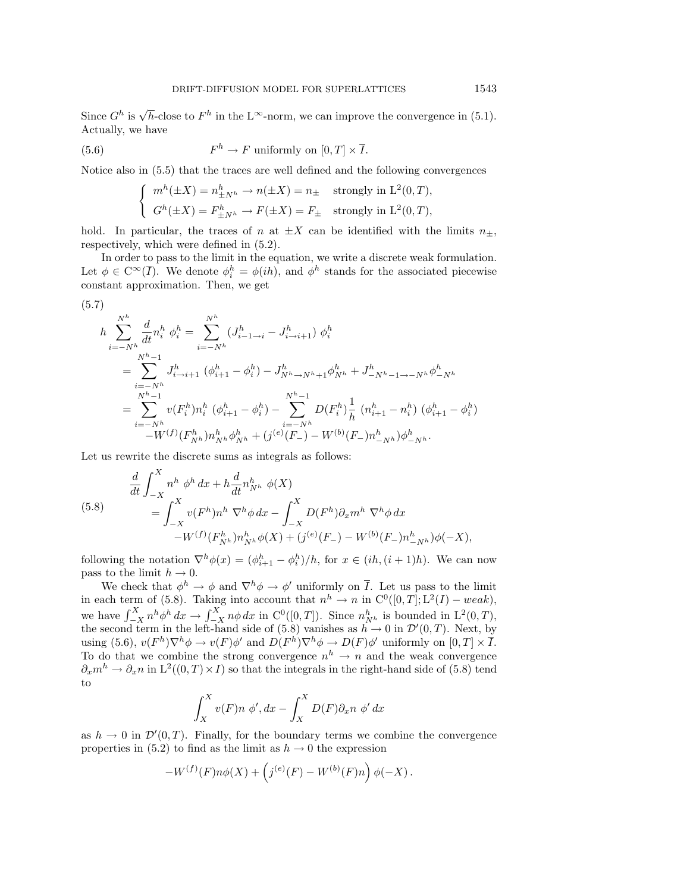Since  $G^h$  is  $\sqrt{h}$ -close to  $F^h$  in the L<sup>∞</sup>-norm, we can improve the convergence in (5.1). Actually, we have

(5.6) 
$$
F^h \to F \text{ uniformly on } [0, T] \times \overline{I}.
$$

Notice also in (5.5) that the traces are well defined and the following convergences

$$
\begin{cases} m^h(\pm X) = n^h_{\pm N^h} \to n(\pm X) = n_{\pm} \quad \text{strongly in } L^2(0, T), \\ G^h(\pm X) = F^h_{\pm N^h} \to F(\pm X) = F_{\pm} \quad \text{strongly in } L^2(0, T), \end{cases}
$$

hold. In particular, the traces of n at  $\pm X$  can be identified with the limits  $n_{\pm}$ , respectively, which were defined in (5.2).

In order to pass to the limit in the equation, we write a discrete weak formulation. Let  $\phi \in \mathbb{C}^{\infty}(\overline{I})$ . We denote  $\phi_i^h = \phi(ih)$ , and  $\phi^h$  stands for the associated piecewise constant approximation. Then, we get

$$
(5.7)
$$
\n
$$
h \sum_{i=-N^{h}}^{N^{h}} \frac{d}{dt} n_{i}^{h} \phi_{i}^{h} = \sum_{i=-N^{h}}^{N^{h}} (J_{i-1\to i}^{h} - J_{i\to i+1}^{h}) \phi_{i}^{h}
$$
\n
$$
= \sum_{i=-N^{h}}^{N^{h}-1} J_{i\to i+1}^{h} (\phi_{i+1}^{h} - \phi_{i}^{h}) - J_{N^{h}\to N^{h}+1}^{h} \phi_{N^{h}}^{h} + J_{-N^{h}-1\to -N^{h}}^{h} \phi_{-N^{h}}^{h}
$$
\n
$$
= \sum_{i=-N^{h}}^{N^{h}-1} v(F_{i}^{h}) n_{i}^{h} (\phi_{i+1}^{h} - \phi_{i}^{h}) - \sum_{i=-N^{h}}^{N^{h}-1} D(F_{i}^{h}) \frac{1}{h} (n_{i+1}^{h} - n_{i}^{h}) (\phi_{i+1}^{h} - \phi_{i}^{h})
$$
\n
$$
-W^{(f)}(F_{N^{h}}^{h}) n_{N^{h}}^{h} \phi_{N^{h}}^{h} + (j^{(e)}(F_{-}) - W^{(b)}(F_{-}) n_{-N^{h}}^{h}) \phi_{-N^{h}}^{h}.
$$

Let us rewrite the discrete sums as integrals as follows:

(5.8)  
\n
$$
\frac{d}{dt} \int_{-X}^{X} n^h \phi^h dx + h \frac{d}{dt} n_{N^h}^h \phi(X)
$$
\n
$$
= \int_{-X}^{X} v(F^h) n^h \nabla^h \phi dx - \int_{-X}^{X} D(F^h) \partial_x m^h \nabla^h \phi dx
$$
\n
$$
-W^{(f)}(F^h_{N^h}) n_{N^h}^h \phi(X) + (j^{(e)}(F_{-}) - W^{(b)}(F_{-}) n_{-N^h}^h) \phi(-X),
$$

following the notation  $\nabla^h \phi(x) = (\phi_{i+1}^h - \phi_i^h)/h$ , for  $x \in (ih, (i+1)h)$ . We can now pass to the limit  $h \to 0$ .

We check that  $\phi^h \to \phi$  and  $\nabla^h \phi \to \phi'$  uniformly on  $\overline{I}$ . Let us pass to the limit in each term of (5.8). Taking into account that  $n^h \to n$  in  $C^0([0,T]; L^2(I) - weak)$ , we have  $\int_{-X}^{X} n^h \phi^h dx \to \int_{-X}^{X} n \phi dx$  in C<sup>0</sup>([0, T]). Since  $n_{N^h}^h$  is bounded in L<sup>2</sup>(0, T), the second term in the left-hand side of (5.8) vanishes as  $h \to 0$  in  $\mathcal{D}'(0,T)$ . Next, by using (5.6),  $v(F^h)\nabla^h\phi \to v(F)\phi'$  and  $D(F^h)\nabla^h\phi \to D(F)\phi'$  uniformly on  $[0, T] \times \overline{I}$ . To do that we combine the strong convergence  $n^h \to n$  and the weak convergence  $\partial_x m^h \to \partial_x n$  in  $L^2((0,T) \times I)$  so that the integrals in the right-hand side of (5.8) tend to

$$
\int_X^X v(F)n \phi', dx - \int_X^X D(F)\partial_x n \phi' dx
$$

as  $h \to 0$  in  $\mathcal{D}'(0,T)$ . Finally, for the boundary terms we combine the convergence properties in (5.2) to find as the limit as  $h \to 0$  the expression

$$
-W^{(f)}(F)n\phi(X) + \left(j^{(e)}(F) - W^{(b)}(F)n\right)\phi(-X).
$$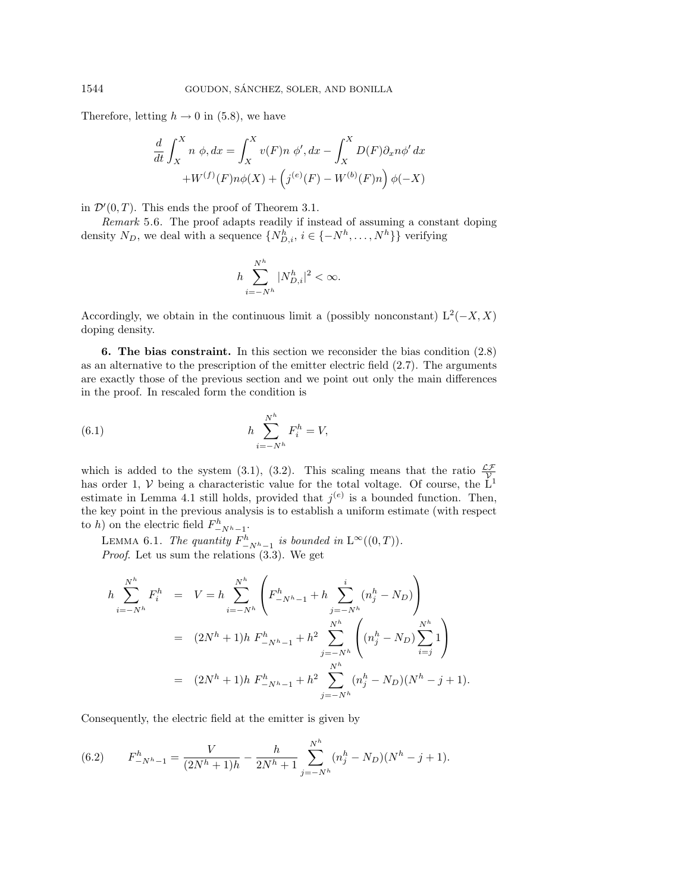Therefore, letting  $h \to 0$  in (5.8), we have

$$
\frac{d}{dt} \int_X^X n \phi, dx = \int_X^X v(F) n \phi', dx - \int_X^X D(F) \partial_x n \phi' dx
$$
  
+W<sup>(f)</sup>(F)  $n\phi(X) + \left(j^{(e)}(F) - W^{(b)}(F)n\right) \phi(-X)$ 

in  $\mathcal{D}'(0,T)$ . This ends the proof of Theorem 3.1.

Remark 5.6. The proof adapts readily if instead of assuming a constant doping density  $N_D$ , we deal with a sequence  $\{N_{D,i}^h, i \in \{-N^h, \ldots, N^h\}\}$  verifying

$$
h\sum_{i=-N^h}^{N^h}|N_{D,i}^h|^2<\infty.
$$

Accordingly, we obtain in the continuous limit a (possibly nonconstant)  $L^2(-X, X)$ doping density.

**6. The bias constraint.** In this section we reconsider the bias condition (2.8) as an alternative to the prescription of the emitter electric field (2.7). The arguments are exactly those of the previous section and we point out only the main differences in the proof. In rescaled form the condition is

(6.1) 
$$
h \sum_{i=-N^h}^{N^h} F_i^h = V,
$$

which is added to the system (3.1), (3.2). This scaling means that the ratio  $\frac{\mathcal{L}\mathcal{F}}{\mathcal{V}}$ has order 1, V being a characteristic value for the total voltage. Of course, the  $\dot{L}^1$ estimate in Lemma 4.1 still holds, provided that  $j^{(e)}$  is a bounded function. Then, the key point in the previous analysis is to establish a uniform estimate (with respect to h) on the electric field  $F_{-N^{h}-1}^{h}$ .

LEMMA 6.1. The quantity  $F^h_{-N^h-1}$  is bounded in  $L^{\infty}((0, T)).$ Proof. Let us sum the relations (3.3). We get

$$
h \sum_{i=-N^h}^{N^h} F_i^h = V = h \sum_{i=-N^h}^{N^h} \left( F_{-N^h-1}^h + h \sum_{j=-N^h}^i (n_j^h - N_D) \right)
$$
  

$$
= (2N^h + 1)h F_{-N^h-1}^h + h^2 \sum_{j=-N^h}^{N^h} \left( (n_j^h - N_D) \sum_{i=j}^{N^h} 1 \right)
$$
  

$$
= (2N^h + 1)h F_{-N^h-1}^h + h^2 \sum_{j=-N^h}^{N^h} (n_j^h - N_D)(N^h - j + 1).
$$

Consequently, the electric field at the emitter is given by

(6.2) 
$$
F_{-N^{h}-1}^{h} = \frac{V}{(2N^{h}+1)h} - \frac{h}{2N^{h}+1} \sum_{j=-N^{h}}^{N^{h}} (n_{j}^{h} - N_{D})(N^{h} - j + 1).
$$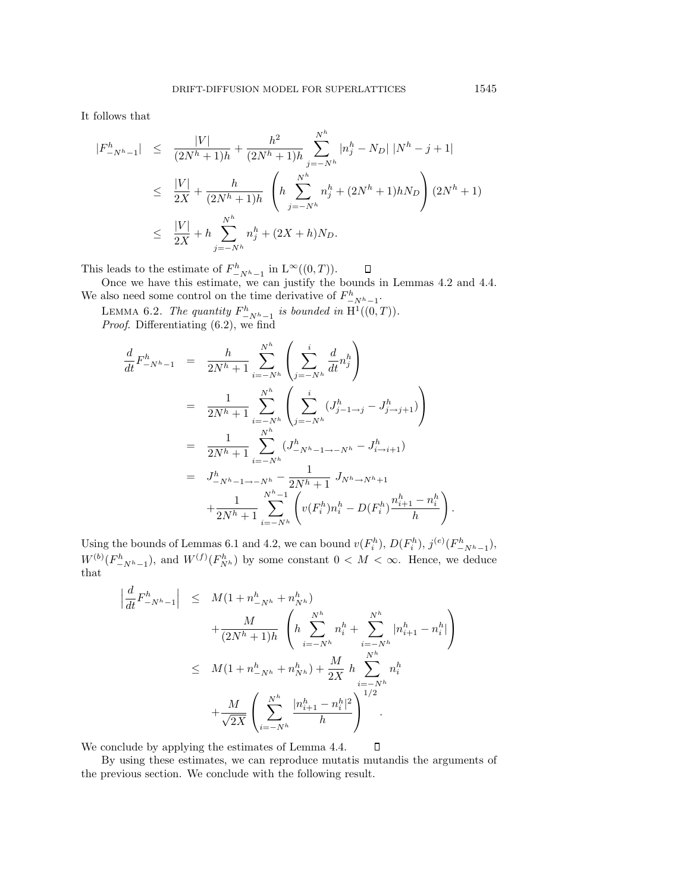It follows that

$$
\begin{array}{rcl} |F_{-N^h-1}^h| & \leq & \frac{|V|}{(2N^h+1)h} + \frac{h^2}{(2N^h+1)h} \sum_{j=-N^h}^{N^h} |n_j^h - N_D| \ |N^h - j + 1| \\ \\ & \leq & \frac{|V|}{2X} + \frac{h}{(2N^h+1)h} \ \left( h \sum_{j=-N^h}^{N^h} n_j^h + (2N^h+1)hN_D \right) (2N^h+1) \\ \\ & \leq & \frac{|V|}{2X} + h \sum_{j=-N^h}^{N^h} n_j^h + (2X+h)N_D. \end{array}
$$

This leads to the estimate of  $F^h_{-N^h-1}$  in  $L^{\infty}((0,T)).$ 

Once we have this estimate, we can justify the bounds in Lemmas 4.2 and 4.4. We also need some control on the time derivative of  $F^h_{-N^h-1}$ .

LEMMA 6.2. The quantity  $F^h_{-N^h-1}$  is bounded in  $\mathrm{H}^1((0,T))$ . Proof. Differentiating (6.2), we find

$$
\frac{d}{dt} F_{-N^{h}-1}^{h} = \frac{h}{2N^{h}+1} \sum_{i=-N^{h}}^{N^{h}} \left( \sum_{j=-N^{h}}^{i} \frac{d}{dt} n_{j}^{h} \right)
$$
\n
$$
= \frac{1}{2N^{h}+1} \sum_{i=-N^{h}}^{N^{h}} \left( \sum_{j=-N^{h}}^{i} (J_{j-1\to j}^{h} - J_{j\to j+1}^{h}) \right)
$$
\n
$$
= \frac{1}{2N^{h}+1} \sum_{i=-N^{h}}^{N^{h}} (J_{-N^{h}-1\to -N^{h}}^{h} - J_{i\to i+1}^{h})
$$
\n
$$
= J_{-N^{h}-1\to -N^{h}}^{h} - \frac{1}{2N^{h}+1} J_{N^{h}\to N^{h}+1}
$$
\n
$$
+ \frac{1}{2N^{h}+1} \sum_{i=-N^{h}}^{N^{h}-1} \left( v(F_{i}^{h}) n_{i}^{h} - D(F_{i}^{h}) \frac{n_{i+1}^{h} - n_{i}^{h}}{h} \right).
$$

Using the bounds of Lemmas 6.1 and 4.2, we can bound  $v(F_i^h)$ ,  $D(F_i^h)$ ,  $j^{(e)}(F_{-N^h-1}^h)$ ,  $W^{(b)}(F_{-N^h-1}^h)$ , and  $W^{(f)}(F_{N^h}^h)$  by some constant  $0 < M < \infty$ . Hence, we deduce that

$$
\left| \frac{d}{dt} F_{-N^{h}-1}^{h} \right| \leq M(1 + n_{-N^{h}}^{h} + n_{N^{h}}^{h}) + \frac{M}{(2N^{h} + 1)h} \left( h \sum_{i=-N^{h}}^{N^{h}} n_{i}^{h} + \sum_{i=-N^{h}}^{N^{h}} |n_{i+1}^{h} - n_{i}^{h}| \right) \leq M(1 + n_{-N^{h}}^{h} + n_{N^{h}}^{h}) + \frac{M}{2X} h \sum_{i=-N^{h}}^{N^{h}} n_{i}^{h} + \frac{M}{\sqrt{2X}} \left( \sum_{i=-N^{h}}^{N^{h}} \frac{|n_{i+1}^{h} - n_{i}^{h}|^{2}}{h} \right)^{1/2}.
$$

 $\Box$ We conclude by applying the estimates of Lemma 4.4.

By using these estimates, we can reproduce mutatis mutandis the arguments of the previous section. We conclude with the following result.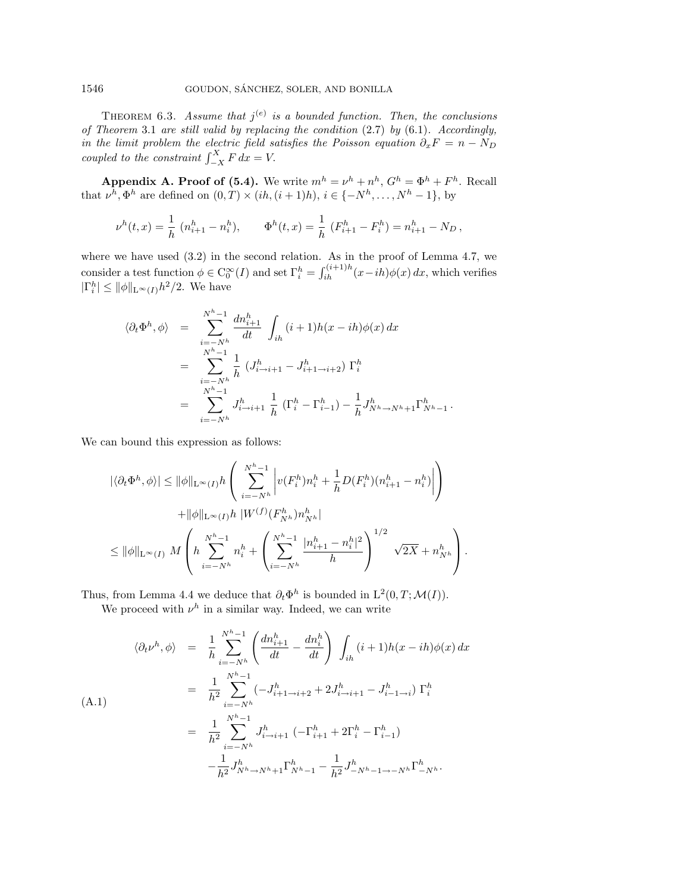THEOREM 6.3. Assume that  $j^{(e)}$  is a bounded function. Then, the conclusions of Theorem 3.1 are still valid by replacing the condition (2.7) by (6.1). Accordingly, in the limit problem the electric field satisfies the Poisson equation  $\partial_x F = n - N_D$ coupled to the constraint  $\int_{-X}^{X} F dx = V$ .

**Appendix A. Proof of (5.4).** We write  $m^h = \nu^h + n^h$ ,  $G^h = \Phi^h + F^h$ . Recall that  $\nu^h, \Phi^h$  are defined on  $(0, T) \times (ih, (i + 1)h), i \in \{-N^h, \ldots, N^h - 1\},$  by

$$
\nu^h(t,x) = \frac{1}{h} \left( n_{i+1}^h - n_i^h \right), \qquad \Phi^h(t,x) = \frac{1}{h} \left( F_{i+1}^h - F_i^h \right) = n_{i+1}^h - N_D \,,
$$

where we have used  $(3.2)$  in the second relation. As in the proof of Lemma 4.7, we consider a test function  $\phi \in C_0^{\infty}(I)$  and set  $\Gamma_i^h = \int_{ih}^{(i+1)h} (x-ih)\phi(x) dx$ , which verifies  $|\Gamma_i^h| \le ||\phi||_{\mathcal{L}^\infty(I)} h^2/2$ . We have

$$
\langle \partial_t \Phi^h, \phi \rangle = \sum_{\substack{i=-N^h \\ N^{h}-1}}^{N^h-1} \frac{dn_{i+1}^h}{dt} \int_{ih} (i+1)h(x-ih)\phi(x) dx
$$
  

$$
= \sum_{\substack{i=-N^h \\ N^{h}-1}}^{N^h-1} \frac{1}{h} \left( J_{i\to i+1}^h - J_{i+1\to i+2}^h \right) \Gamma_i^h
$$
  

$$
= \sum_{i=-N^h}^{N^h-1} J_{i\to i+1}^h \frac{1}{h} \left( \Gamma_i^h - \Gamma_{i-1}^h \right) - \frac{1}{h} J_{N^h \to N^h+1}^h \Gamma_{N^h-1}^h.
$$

We can bound this expression as follows:

$$
|\langle \partial_t \Phi^h, \phi \rangle| \le ||\phi||_{\mathcal{L}^{\infty}(I)} h \left( \sum_{i=-N^h}^{N^h-1} \left| v(F_i^h) n_i^h + \frac{1}{h} D(F_i^h) (n_{i+1}^h - n_i^h) \right| \right) + ||\phi||_{\mathcal{L}^{\infty}(I)} h \, |W^{(f)}(F_{N^h}^h) n_{N^h}^h|
$$
  

$$
\le ||\phi||_{\mathcal{L}^{\infty}(I)} M \left( h \sum_{i=-N^h}^{N^h-1} n_i^h + \left( \sum_{i=-N^h}^{N^h-1} \frac{|n_{i+1}^h - n_i^h|^2}{h} \right)^{1/2} \sqrt{2X} + n_{N^h}^h \right).
$$

Thus, from Lemma 4.4 we deduce that  $\partial_t \Phi^h$  is bounded in  $L^2(0, T; \mathcal{M}(I)).$ 

We proceed with  $\nu^h$  in a similar way. Indeed, we can write

$$
\langle \partial_t \nu^h, \phi \rangle = \frac{1}{h} \sum_{i=-N^h}^{N^h-1} \left( \frac{d n_{i+1}^h}{dt} - \frac{d n_i^h}{dt} \right) \int_{ih} (i+1)h(x-ih)\phi(x) dx
$$
  
\n
$$
= \frac{1}{h^2} \sum_{i=-N^h}^{N^h-1} (-J_{i+1\to i+2}^h + 2J_{i\to i+1}^h - J_{i-1\to i}^h) \Gamma_i^h
$$
  
\n
$$
= \frac{1}{h^2} \sum_{i=-N^h}^{N^h-1} J_{i\to i+1}^h (-\Gamma_{i+1}^h + 2\Gamma_i^h - \Gamma_{i-1}^h)
$$
  
\n
$$
- \frac{1}{h^2} J_{N^h \to N^h+1}^{h} \Gamma_{N^h-1}^h - \frac{1}{h^2} J_{-N^h-1\to -N^h}^{h} \Gamma_{-N^h}^h.
$$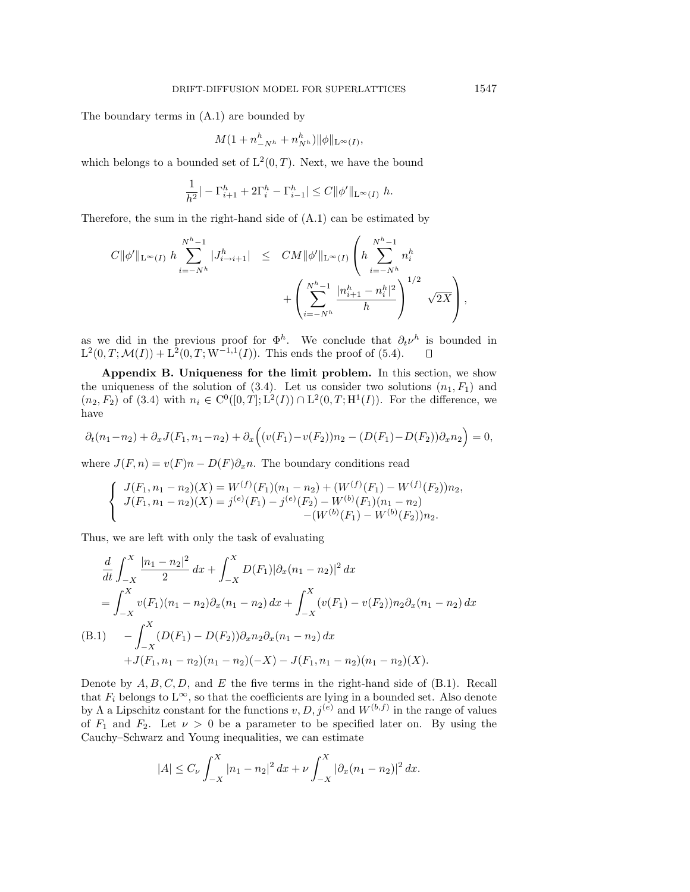The boundary terms in (A.1) are bounded by

$$
M(1+n_{-N^h}^h+n_{N^h}^h)\|\phi\|_{\mathcal{L}^\infty(I)},
$$

which belongs to a bounded set of  $L^2(0,T)$ . Next, we have the bound

$$
\frac{1}{h^2}|-{\Gamma}_{i+1}^h+2{\Gamma}_{i}^h-{\Gamma}_{i-1}^h|\leq C\|\phi'\|_{\mathrm{L}^\infty(I)}\ h.
$$

Therefore, the sum in the right-hand side of (A.1) can be estimated by

$$
C \|\phi'\|_{\mathcal{L}^{\infty}(I)} \ h \sum_{i=-N^h}^{N^h-1} |J_{i\to i+1}^h| \leq CM \|\phi'\|_{\mathcal{L}^{\infty}(I)} \left(h \sum_{i=-N^h}^{N^h-1} n_i^h + \left(\sum_{i=-N^h}^{N^h-1} \frac{|n_{i+1}^h - n_i^h|^2}{h}\right)^{1/2} \sqrt{2X}\right),
$$

as we did in the previous proof for  $\Phi^h$ . We conclude that  $\partial_t \nu^h$  is bounded in  $L^2(0, T; \mathcal{M}(I)) + L^2(0, T; W^{-1,1}(I)).$  This ends the proof of (5.4). П

**Appendix B. Uniqueness for the limit problem.** In this section, we show the uniqueness of the solution of (3.4). Let us consider two solutions  $(n_1, F_1)$  and  $(n_2, F_2)$  of (3.4) with  $n_i \in C^0([0, T]; L^2(I)) \cap L^2(0, T; H^1(I))$ . For the difference, we have

$$
\partial_t(n_1 - n_2) + \partial_x J(F_1, n_1 - n_2) + \partial_x \Big( (v(F_1) - v(F_2))n_2 - (D(F_1) - D(F_2))\partial_x n_2 \Big) = 0,
$$

where  $J(F, n) = v(F)n - D(F)\partial_x n$ . The boundary conditions read

$$
\begin{cases}\nJ(F_1, n_1 - n_2)(X) = W^{(f)}(F_1)(n_1 - n_2) + (W^{(f)}(F_1) - W^{(f)}(F_2))n_2, \\
J(F_1, n_1 - n_2)(X) = j^{(e)}(F_1) - j^{(e)}(F_2) - W^{(b)}(F_1)(n_1 - n_2) \\
-(W^{(b)}(F_1) - W^{(b)}(F_2))n_2.\n\end{cases}
$$

Thus, we are left with only the task of evaluating

$$
\frac{d}{dt} \int_{-X}^{X} \frac{|n_1 - n_2|^2}{2} dx + \int_{-X}^{X} D(F_1) |\partial_x (n_1 - n_2)|^2 dx
$$
  
\n
$$
= \int_{-X}^{X} v(F_1) (n_1 - n_2) \partial_x (n_1 - n_2) dx + \int_{-X}^{X} (v(F_1) - v(F_2)) n_2 \partial_x (n_1 - n_2) dx
$$
  
\n(B.1) 
$$
- \int_{-X}^{X} (D(F_1) - D(F_2)) \partial_x n_2 \partial_x (n_1 - n_2) dx
$$
  
\n
$$
+ J(F_1, n_1 - n_2) (n_1 - n_2) (-X) - J(F_1, n_1 - n_2) (n_1 - n_2) (X).
$$

Denote by  $A, B, C, D$ , and E the five terms in the right-hand side of  $(B.1)$ . Recall that  $F_i$  belongs to  $L^{\infty}$ , so that the coefficients are lying in a bounded set. Also denote by Λ a Lipschitz constant for the functions  $v, D, j^{(e)}$  and  $W^{(b,f)}$  in the range of values of  $F_1$  and  $F_2$ . Let  $\nu > 0$  be a parameter to be specified later on. By using the Cauchy–Schwarz and Young inequalities, we can estimate

$$
|A| \leq C_{\nu} \int_{-X}^{X} |n_1 - n_2|^2 \, dx + \nu \int_{-X}^{X} |\partial_x (n_1 - n_2)|^2 \, dx.
$$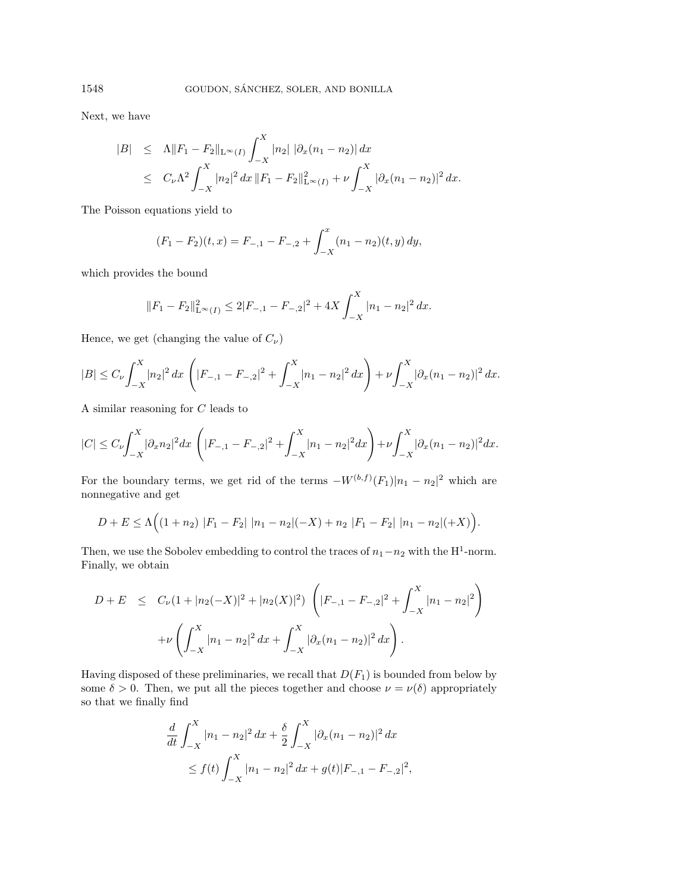Next, we have

$$
|B| \leq \Lambda \|F_1 - F_2\|_{L^{\infty}(I)} \int_{-X}^{X} |n_2| |\partial_x (n_1 - n_2)| dx
$$
  
 
$$
\leq C_{\nu} \Lambda^2 \int_{-X}^{X} |n_2|^2 dx \|F_1 - F_2\|_{L^{\infty}(I)}^2 + \nu \int_{-X}^{X} |\partial_x (n_1 - n_2)|^2 dx.
$$

The Poisson equations yield to

$$
(F_1 - F_2)(t, x) = F_{-,1} - F_{-,2} + \int_{-X}^{x} (n_1 - n_2)(t, y) dy,
$$

which provides the bound

$$
||F_1 - F_2||_{\mathcal{L}^{\infty}(I)}^2 \le 2|F_{-,1} - F_{-,2}|^2 + 4X \int_{-X}^X |n_1 - n_2|^2 dx.
$$

Hence, we get (changing the value of  $C_{\nu}$ )

$$
|B| \leq C_{\nu} \int_{-X}^{X} |n_2|^2 dx \left( |F_{-,1} - F_{-,2}|^2 + \int_{-X}^{X} |n_1 - n_2|^2 dx \right) + \nu \int_{-X}^{X} |\partial_x (n_1 - n_2)|^2 dx.
$$

A similar reasoning for C leads to

$$
|C| \leq C_{\nu} \int_{-X}^{X} |\partial_x n_2|^2 dx \left( |F_{-,1} - F_{-,2}|^2 + \int_{-X}^{X} |n_1 - n_2|^2 dx \right) + \nu \int_{-X}^{X} |\partial_x (n_1 - n_2)|^2 dx.
$$

For the boundary terms, we get rid of the terms  $-W^{(b,f)}(F_1)|n_1 - n_2|^2$  which are nonnegative and get

$$
D + E \le \Lambda \Big( (1 + n_2) |F_1 - F_2| |n_1 - n_2|(-X) + n_2 |F_1 - F_2| |n_1 - n_2|(+X) \Big).
$$

Then, we use the Sobolev embedding to control the traces of  $n_1-n_2$  with the H<sup>1</sup>-norm. Finally, we obtain

$$
D + E \leq C_{\nu} (1 + |n_2(-X)|^2 + |n_2(X)|^2) \left( |F_{-,1} - F_{-,2}|^2 + \int_{-X}^X |n_1 - n_2|^2 \right) + \nu \left( \int_{-X}^X |n_1 - n_2|^2 dx + \int_{-X}^X |\partial_x (n_1 - n_2)|^2 dx \right).
$$

Having disposed of these preliminaries, we recall that  $D(F_1)$  is bounded from below by some  $\delta > 0$ . Then, we put all the pieces together and choose  $\nu = \nu(\delta)$  appropriately so that we finally find

$$
\frac{d}{dt} \int_{-X}^{X} |n_1 - n_2|^2 \, dx + \frac{\delta}{2} \int_{-X}^{X} |\partial_x (n_1 - n_2)|^2 \, dx
$$
\n
$$
\leq f(t) \int_{-X}^{X} |n_1 - n_2|^2 \, dx + g(t) |F_{-,1} - F_{-,2}|^2,
$$